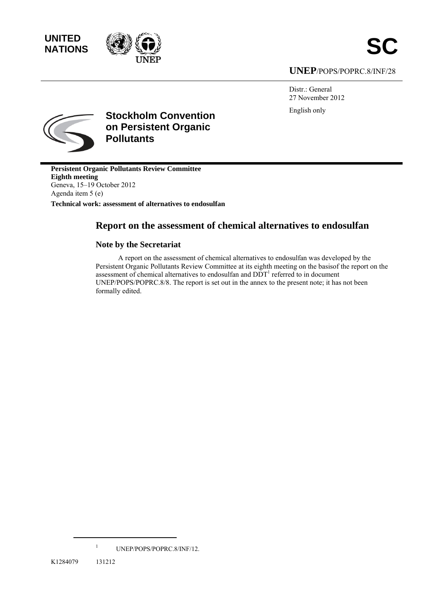**UNITED** 



**UNEP**/POPS/POPRC.8/INF/28

Distr.: General 27 November 2012 English only



**Stockholm Convention on Persistent Organic Pollutants** 

**Persistent Organic Pollutants Review Committee Eighth meeting**  Geneva, 15–19 October 2012 Agenda item 5 (e)

**Technical work: assessment of alternatives to endosulfan** 

# **Report on the assessment of chemical alternatives to endosulfan**

### **Note by the Secretariat**

A report on the assessment of chemical alternatives to endosulfan was developed by the Persistent Organic Pollutants Review Committee at its eighth meeting on the basisof the report on the assessment of chemical alternatives to endosulfan and  $DDT<sup>1</sup>$  referred to in document UNEP/POPS/POPRC.8/8. The report is set out in the annex to the present note; it has not been formally edited.

<sup>1</sup> UNEP/POPS/POPRC.8/INF/12.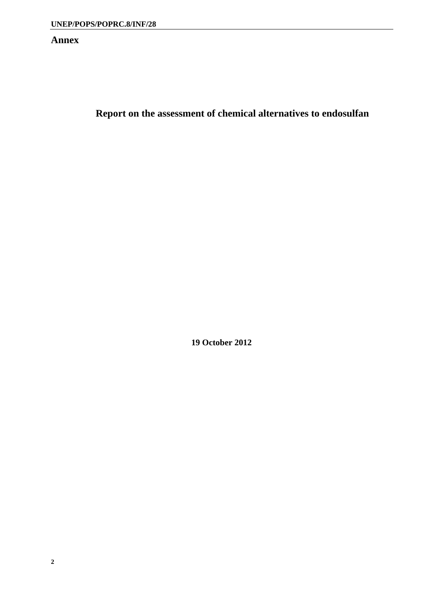## **Annex**

**Report on the assessment of chemical alternatives to endosulfan** 

**19 October 2012**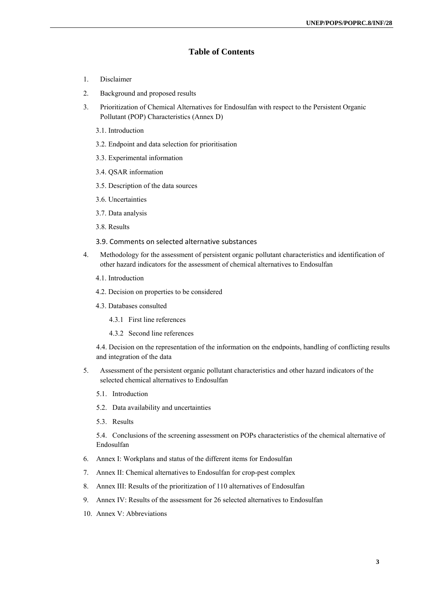### **Table of Contents**

- 1. Disclaimer
- 2. Background and proposed results
- 3. Prioritization of Chemical Alternatives for Endosulfan with respect to the Persistent Organic Pollutant (POP) Characteristics (Annex D)
	- 3.1. Introduction
	- 3.2. Endpoint and data selection for prioritisation
	- 3.3. Experimental information
	- 3.4. QSAR information
	- 3.5. Description of the data sources
	- 3.6. Uncertainties
	- 3.7. Data analysis
	- 3.8. Results
	- 3.9. Comments on selected alternative substances
- 4. Methodology for the assessment of persistent organic pollutant characteristics and identification of other hazard indicators for the assessment of chemical alternatives to Endosulfan
	- 4.1. Introduction
	- 4.2. Decision on properties to be considered
	- 4.3. Databases consulted
		- 4.3.1 First line references
		- 4.3.2 Second line references

4.4. Decision on the representation of the information on the endpoints, handling of conflicting results and integration of the data

- 5. Assessment of the persistent organic pollutant characteristics and other hazard indicators of the selected chemical alternatives to Endosulfan
	- 5.1. Introduction
	- 5.2. Data availability and uncertainties
	- 5.3. Results

5.4. Conclusions of the screening assessment on POPs characteristics of the chemical alternative of Endosulfan

- 6. Annex I: Workplans and status of the different items for Endosulfan
- 7. Annex II: Chemical alternatives to Endosulfan for crop-pest complex
- 8. Annex III: Results of the prioritization of 110 alternatives of Endosulfan
- 9. Annex IV: Results of the assessment for 26 selected alternatives to Endosulfan
- 10. Annex V: Abbreviations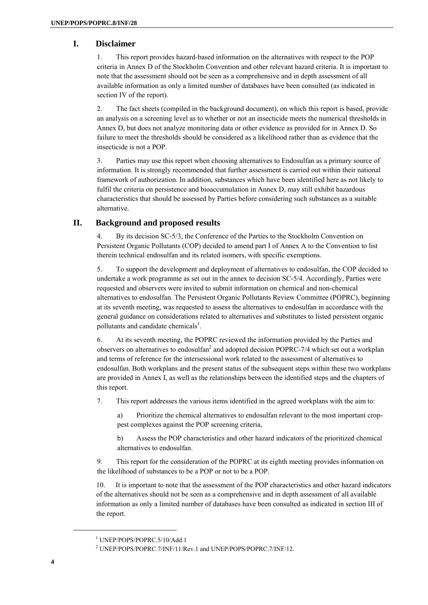### **I. Disclaimer**

1. This report provides hazard-based information on the alternatives with respect to the POP criteria in Annex D of the Stockholm Convention and other relevant hazard criteria. It is important to note that the assessment should not be seen as a comprehensive and in depth assessment of all available information as only a limited number of databases have been consulted (as indicated in section IV of the report).

2. The fact sheets (compiled in the background document), on which this report is based, provide an analysis on a screening level as to whether or not an insecticide meets the numerical thresholds in Annex D, but does not analyze monitoring data or other evidence as provided for in Annex D. So failure to meet the thresholds should be considered as a likelihood rather than as evidence that the insecticide is not a POP.

3. Parties may use this report when choosing alternatives to Endosulfan as a primary source of information. It is strongly recommended that further assessment is carried out within their national framework of authorization. In addition, substances which have been identified here as not likely to fulfil the criteria on persistence and bioaccumulation in Annex D, may still exhibit hazardous characteristics that should be assessed by Parties before considering such substances as a suitable alternative.

### **II. Background and proposed results**

4. By its decision SC-5/3, the Conference of the Parties to the Stockholm Convention on Persistent Organic Pollutants (COP) decided to amend part I of Annex A to the Convention to list therein technical endosulfan and its related isomers, with specific exemptions.

5. To support the development and deployment of alternatives to endosulfan, the COP decided to undertake a work programme as set out in the annex to decision SC-5/4. Accordingly, Parties were requested and observers were invited to submit information on chemical and non-chemical alternatives to endosulfan. The Persistent Organic Pollutants Review Committee (POPRC), beginning at its seventh meeting, was requested to assess the alternatives to endosulfan in accordance with the general guidance on considerations related to alternatives and substitutes to listed persistent organic pollutants and candidate chemicals<sup>1</sup>.

6. At its seventh meeting, the POPRC reviewed the information provided by the Parties and observers on alternatives to endosulfan<sup>2</sup> and adopted decision POPRC-7/4 which set out a workplan and terms of reference for the intersessional work related to the assessment of alternatives to endosulfan. Both workplans and the present status of the subsequent steps within these two workplans are provided in Annex I, as well as the relationships between the identified steps and the chapters of this report.

7. This report addresses the various items identified in the agreed workplans with the aim to:

a) Prioritize the chemical alternatives to endosulfan relevant to the most important croppest complexes against the POP screening criteria,

b) Assess the POP characteristics and other hazard indicators of the prioritized chemical alternatives to endosulfan.

9. This report for the consideration of the POPRC at its eighth meeting provides information on the likelihood of substances to be a POP or not to be a POP.

10. It is important to note that the assessment of the POP characteristics and other hazard indicators of the alternatives should not be seen as a comprehensive and in depth assessment of all available information as only a limited number of databases have been consulted as indicated in section III of the report.

<sup>1</sup> UNEP/POPS/POPRC.5/10/Add.1

<sup>&</sup>lt;sup>2</sup> UNEP/POPS/POPRC.7/INF/11/Rev.1 and UNEP/POPS/POPRC.7/INF/12.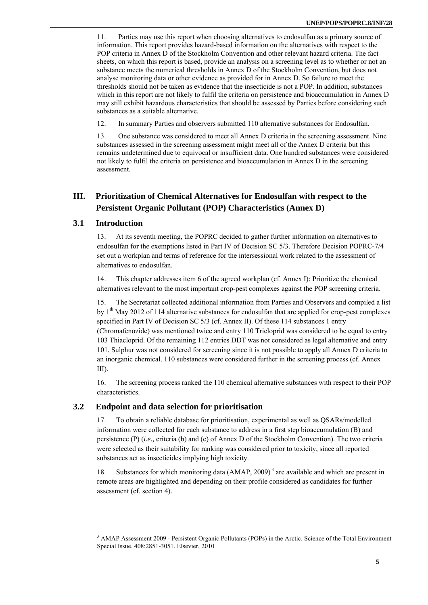11. Parties may use this report when choosing alternatives to endosulfan as a primary source of information. This report provides hazard-based information on the alternatives with respect to the POP criteria in Annex D of the Stockholm Convention and other relevant hazard criteria. The fact sheets, on which this report is based, provide an analysis on a screening level as to whether or not an substance meets the numerical thresholds in Annex D of the Stockholm Convention, but does not analyse monitoring data or other evidence as provided for in Annex D. So failure to meet the thresholds should not be taken as evidence that the insecticide is not a POP. In addition, substances which in this report are not likely to fulfil the criteria on persistence and bioaccumulation in Annex D may still exhibit hazardous characteristics that should be assessed by Parties before considering such substances as a suitable alternative.

12. In summary Parties and observers submitted 110 alternative substances for Endosulfan.

13. One substance was considered to meet all Annex D criteria in the screening assessment. Nine substances assessed in the screening assessment might meet all of the Annex D criteria but this remains undetermined due to equivocal or insufficient data. One hundred substances were considered not likely to fulfil the criteria on persistence and bioaccumulation in Annex D in the screening assessment.

### **III. Prioritization of Chemical Alternatives for Endosulfan with respect to the Persistent Organic Pollutant (POP) Characteristics (Annex D)**

#### **3.1 Introduction**

13. At its seventh meeting, the POPRC decided to gather further information on alternatives to endosulfan for the exemptions listed in Part IV of Decision SC 5/3. Therefore Decision POPRC-7/4 set out a workplan and terms of reference for the intersessional work related to the assessment of alternatives to endosulfan.

14. This chapter addresses item 6 of the agreed workplan (cf. Annex I): Prioritize the chemical alternatives relevant to the most important crop-pest complexes against the POP screening criteria.

15. The Secretariat collected additional information from Parties and Observers and compiled a list by  $1<sup>th</sup>$  May 2012 of 114 alternative substances for endosulfan that are applied for crop-pest complexes specified in Part IV of Decision SC 5/3 (cf. Annex II). Of these 114 substances 1 entry (Chromafenozide) was mentioned twice and entry 110 Tricloprid was considered to be equal to entry 103 Thiacloprid. Of the remaining 112 entries DDT was not considered as legal alternative and entry 101, Sulphur was not considered for screening since it is not possible to apply all Annex D criteria to an inorganic chemical. 110 substances were considered further in the screening process (cf. Annex III).

16. The screening process ranked the 110 chemical alternative substances with respect to their POP characteristics.

### **3.2 Endpoint and data selection for prioritisation**

17. To obtain a reliable database for prioritisation, experimental as well as QSARs/modelled information were collected for each substance to address in a first step bioaccumulation (B) and persistence (P) (*i.e.,* criteria (b) and (c) of Annex D of the Stockholm Convention). The two criteria were selected as their suitability for ranking was considered prior to toxicity, since all reported substances act as insecticides implying high toxicity.

18. Substances for which monitoring data (AMAP, 2009) 3 are available and which are present in remote areas are highlighted and depending on their profile considered as candidates for further assessment (cf. section 4).

<sup>&</sup>lt;sup>3</sup> AMAP Assessment 2009 - Persistent Organic Pollutants (POPs) in the Arctic. Science of the Total Environment Special Issue. 408:2851-3051. Elsevier, 2010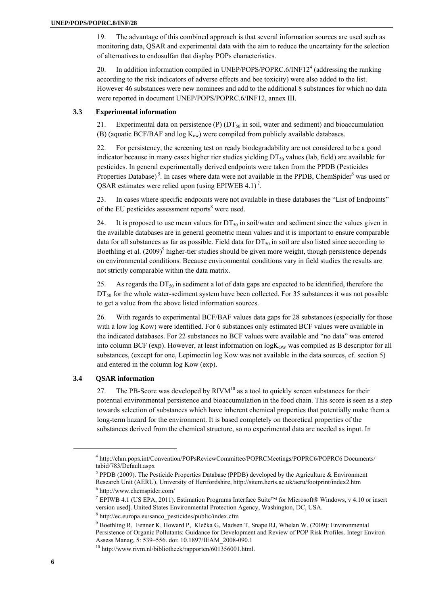19. The advantage of this combined approach is that several information sources are used such as monitoring data, QSAR and experimental data with the aim to reduce the uncertainty for the selection of alternatives to endosulfan that display POPs characteristics.

20. In addition information compiled in UNEP/POPS/POPRC.6/INF12<sup>4</sup> (addressing the ranking according to the risk indicators of adverse effects and bee toxicity) were also added to the list. However 46 substances were new nominees and add to the additional 8 substances for which no data were reported in document UNEP/POPS/POPRC.6/INF12, annex III.

#### **3.3 Experimental information**

21. Experimental data on persistence (P)  $(DT_{50}$  in soil, water and sediment) and bioaccumulation (B) (aquatic BCF/BAF and  $log K_{ow}$ ) were compiled from publicly available databases.

22. For persistency, the screening test on ready biodegradability are not considered to be a good indicator because in many cases higher tier studies yielding  $DT_{50}$  values (lab, field) are available for pesticides. In general experimentally derived endpoints were taken from the PPDB (Pesticides Properties Database)<sup>5</sup>. In cases where data were not available in the PPDB, ChemSpider<sup>6</sup> was used or OSAR estimates were relied upon (using EPIWEB 4.1)<sup>7</sup>.

23. In cases where specific endpoints were not available in these databases the "List of Endpoints" of the EU pesticides assessment reports<sup>8</sup> were used.

24. It is proposed to use mean values for  $DT_{50}$  in soil/water and sediment since the values given in the available databases are in general geometric mean values and it is important to ensure comparable data for all substances as far as possible. Field data for  $DT_{50}$  in soil are also listed since according to Boethling et al. (2009)<sup>9</sup> higher-tier studies should be given more weight, though persistence depends on environmental conditions. Because environmental conditions vary in field studies the results are not strictly comparable within the data matrix.

25. As regards the  $DT_{50}$  in sediment a lot of data gaps are expected to be identified, therefore the  $DT<sub>50</sub>$  for the whole water-sediment system have been collected. For 35 substances it was not possible to get a value from the above listed information sources.

26. With regards to experimental BCF/BAF values data gaps for 28 substances (especially for those with a low log Kow) were identified. For 6 substances only estimated BCF values were available in the indicated databases. For 22 substances no BCF values were available and "no data" was entered into column BCF (exp). However, at least information on  $log K<sub>ow</sub>$  was compiled as B descriptor for all substances, (except for one, Lepimectin log Kow was not available in the data sources, cf. section 5) and entered in the column log Kow (exp).

#### **3.4 QSAR information**

27. The PB-Score was developed by  $\text{RIVM}^{10}$  as a tool to quickly screen substances for their potential environmental persistence and bioaccumulation in the food chain. This score is seen as a step towards selection of substances which have inherent chemical properties that potentially make them a long-term hazard for the environment. It is based completely on theoretical properties of the substances derived from the chemical structure, so no experimental data are needed as input. In

<sup>4</sup> http://chm.pops.int/Convention/POPsReviewCommittee/POPRCMeetings/POPRC6/POPRC6 Documents/ tabid/783/Default.aspx

<sup>&</sup>lt;sup>5</sup> PPDB (2009). The Pesticide Properties Database (PPDB) developed by the Agriculture & Environment Research Unit (AERU), University of Hertfordshire, http://sitem.herts.ac.uk/aeru/footprint/index2.htm 6 http://www.chemspider.com/

<sup>&</sup>lt;sup>7</sup> EPIWB 4.1 (US EPA, 2011). Estimation Programs Interface Suite<sup>TM</sup> for Microsoft® Windows, v 4.10 or insert version used]. United States Environmental Protection Agency, Washington, DC, USA. 8

http://ec.europa.eu/sanco\_pesticides/public/index.cfm 9

<sup>&</sup>lt;sup>9</sup> Boethling R, Fenner K, Howard P, Klečka G, Madsen T, Snape RJ, Whelan W. (2009): Environmental Persistence of Organic Pollutants: Guidance for Development and Review of POP Risk Profiles. Integr Environ Assess Manag, 5: 539–556. doi: 10.1897/IEAM\_2008-090.1 10 http://www.rivm.nl/bibliotheek/rapporten/601356001.html.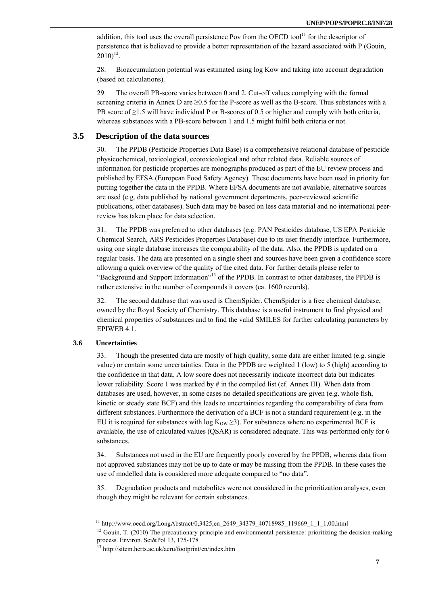addition, this tool uses the overall persistence Pov from the OECD tool<sup>11</sup> for the descriptor of persistence that is believed to provide a better representation of the hazard associated with P (Gouin,  $2010)^{12}$ .

28. Bioaccumulation potential was estimated using log Kow and taking into account degradation (based on calculations).

29. The overall PB-score varies between 0 and 2. Cut-off values complying with the formal screening criteria in Annex D are  $\geq$ 0.5 for the P-score as well as the B-score. Thus substances with a PB score of  $\geq$ 1.5 will have individual P or B-scores of 0.5 or higher and comply with both criteria, whereas substances with a PB-score between 1 and 1.5 might fulfil both criteria or not.

#### **3.5 Description of the data sources**

30. The PPDB (Pesticide Properties Data Base) is a comprehensive relational database of pesticide physicochemical, toxicological, ecotoxicological and other related data. Reliable sources of information for pesticide properties are monographs produced as part of the EU review process and published by EFSA (European Food Safety Agency). These documents have been used in priority for putting together the data in the PPDB. Where EFSA documents are not available, alternative sources are used (e.g. data published by national government departments, peer-reviewed scientific publications, other databases). Such data may be based on less data material and no international peerreview has taken place for data selection.

31. The PPDB was preferred to other databases (e.g. PAN Pesticides database, US EPA Pesticide Chemical Search, ARS Pesticides Properties Database) due to its user friendly interface. Furthermore, using one single database increases the comparability of the data. Also, the PPDB is updated on a regular basis. The data are presented on a single sheet and sources have been given a confidence score allowing a quick overview of the quality of the cited data. For further details please refer to "Background and Support Information"<sup>13</sup> of the PPDB. In contrast to other databases, the PPDB is rather extensive in the number of compounds it covers (ca. 1600 records).

32. The second database that was used is ChemSpider. ChemSpider is a free chemical database, owned by the Royal Society of Chemistry. This database is a useful instrument to find physical and chemical properties of substances and to find the valid SMILES for further calculating parameters by EPIWEB 4.1.

#### **3.6 Uncertainties**

33. Though the presented data are mostly of high quality, some data are either limited (e.g. single value) or contain some uncertainties. Data in the PPDB are weighted 1 (low) to 5 (high) according to the confidence in that data. A low score does not necessarily indicate incorrect data but indicates lower reliability. Score 1 was marked by # in the compiled list (cf. Annex III). When data from databases are used, however, in some cases no detailed specifications are given (e.g. whole fish, kinetic or steady state BCF) and this leads to uncertainties regarding the comparability of data from different substances. Furthermore the derivation of a BCF is not a standard requirement (e.g. in the EU it is required for substances with log  $K_{\text{OW}} \geq 3$ ). For substances where no experimental BCF is available, the use of calculated values (QSAR) is considered adequate. This was performed only for 6 substances.

34. Substances not used in the EU are frequently poorly covered by the PPDB, whereas data from not approved substances may not be up to date or may be missing from the PPDB. In these cases the use of modelled data is considered more adequate compared to "no data".

35. Degradation products and metabolites were not considered in the prioritization analyses, even though they might be relevant for certain substances.

<sup>&</sup>lt;sup>11</sup> http://www.oecd.org/LongAbstract/0,3425,en\_2649\_34379\_40718985\_119669\_1\_1\_1,00.html <sup>12</sup> Gouin, T. (2010) The precautionary principle and environmental persistence: prioritizing the decision-making process. Environ. Sci&Pol 13, 175-178

<sup>13</sup> http://sitem.herts.ac.uk/aeru/footprint/en/index.htm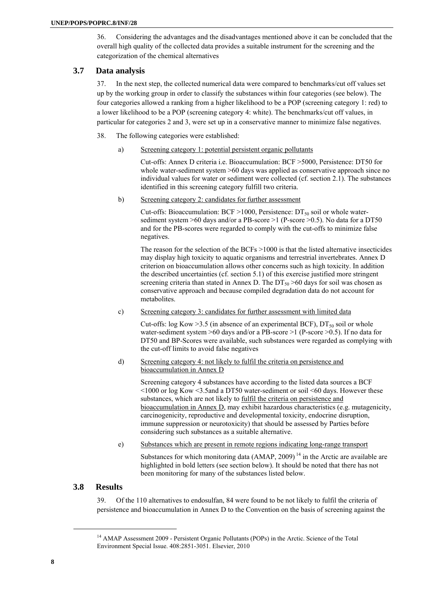36. Considering the advantages and the disadvantages mentioned above it can be concluded that the overall high quality of the collected data provides a suitable instrument for the screening and the categorization of the chemical alternatives

### **3.7 Data analysis**

37. In the next step, the collected numerical data were compared to benchmarks/cut off values set up by the working group in order to classify the substances within four categories (see below). The four categories allowed a ranking from a higher likelihood to be a POP (screening category 1: red) to a lower likelihood to be a POP (screening category 4: white). The benchmarks/cut off values, in particular for categories 2 and 3, were set up in a conservative manner to minimize false negatives.

38. The following categories were established:

a) Screening category 1: potential persistent organic pollutants

 Cut-offs: Annex D criteria i.e. Bioaccumulation: BCF >5000, Persistence: DT50 for whole water-sediment system >60 days was applied as conservative approach since no individual values for water or sediment were collected (cf. section 2.1). The substances identified in this screening category fulfill two criteria.

b) Screening category 2: candidates for further assessment

Cut-offs: Bioaccumulation: BCF >1000, Persistence:  $DT_{50}$  soil or whole watersediment system >60 days and/or a PB-score >1 (P-score >0.5). No data for a DT50 and for the PB-scores were regarded to comply with the cut-offs to minimize false negatives.

 The reason for the selection of the BCFs >1000 is that the listed alternative insecticides may display high toxicity to aquatic organisms and terrestrial invertebrates. Annex D criterion on bioaccumulation allows other concerns such as high toxicity. In addition the described uncertainties (cf. section 5.1) of this exercise justified more stringent screening criteria than stated in Annex D. The  $DT_{50} > 60$  days for soil was chosen as conservative approach and because compiled degradation data do not account for metabolites.

c) Screening category 3: candidates for further assessment with limited data

Cut-offs: log Kow > 3.5 (in absence of an experimental BCF),  $DT_{50}$  soil or whole water-sediment system >60 days and/or a PB-score >1 (P-score >0.5). If no data for DT50 and BP-Scores were available, such substances were regarded as complying with the cut-off limits to avoid false negatives

d) Screening category 4: not likely to fulfil the criteria on persistence and bioaccumulation in Annex D

 Screening category 4 substances have according to the listed data sources a BCF <1000 or log Kow <3.5and a DT50 water-sediment or soil <60 days. However these substances, which are not likely to fulfil the criteria on persistence and bioaccumulation in Annex D, may exhibit hazardous characteristics (e.g. mutagenicity, carcinogenicity, reproductive and developmental toxicity, endocrine disruption, immune suppression or neurotoxicity) that should be assessed by Parties before considering such substances as a suitable alternative.

e) Substances which are present in remote regions indicating long-range transport

Substances for which monitoring data  $(AMAP, 2009)^{14}$  in the Arctic are available are highlighted in bold letters (see section below). It should be noted that there has not been monitoring for many of the substances listed below.

### **3.8 Results**

39. Of the 110 alternatives to endosulfan, 84 were found to be not likely to fulfil the criteria of persistence and bioaccumulation in Annex D to the Convention on the basis of screening against the

<sup>&</sup>lt;sup>14</sup> AMAP Assessment 2009 - Persistent Organic Pollutants (POPs) in the Arctic. Science of the Total Environment Special Issue. 408:2851-3051. Elsevier, 2010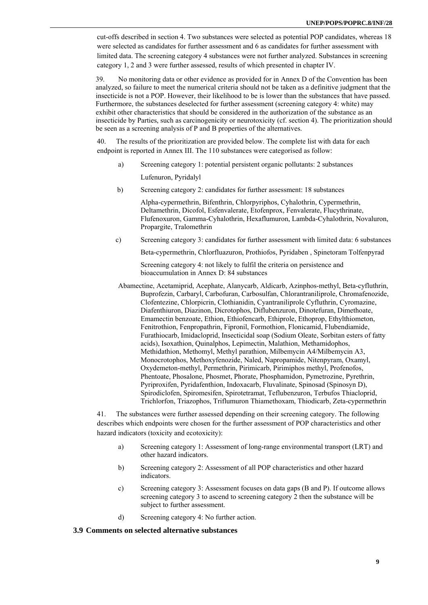cut-offs described in section 4. Two substances were selected as potential POP candidates, whereas 18 were selected as candidates for further assessment and 6 as candidates for further assessment with limited data. The screening category 4 substances were not further analyzed. Substances in screening category 1, 2 and 3 were further assessed, results of which presented in chapter IV.

39. No monitoring data or other evidence as provided for in Annex D of the Convention has been analyzed, so failure to meet the numerical criteria should not be taken as a definitive judgment that the insecticide is not a POP. However, their likelihood to be is lower than the substances that have passed. Furthermore, the substances deselected for further assessment (screening category 4: white) may exhibit other characteristics that should be considered in the authorization of the substance as an insecticide by Parties, such as carcinogenicity or neurotoxicity (cf. section 4). The prioritization should be seen as a screening analysis of P and B properties of the alternatives.

40. The results of the prioritization are provided below. The complete list with data for each endpoint is reported in Annex III. The 110 substances were categorised as follow:

- a) Screening category 1: potential persistent organic pollutants: 2 substances Lufenuron, Pyridalyl
- b) Screening category 2: candidates for further assessment: 18 substances

 Alpha-cypermethrin, Bifenthrin, Chlorpyriphos, Cyhalothrin, Cypermethrin, Deltamethrin, Dicofol, Esfenvalerate, Etofenprox, Fenvalerate, Flucythrinate, Flufenoxuron, Gamma-Cyhalothrin, Hexaflumuron, Lambda-Cyhalothrin, Novaluron, Propargite, Tralomethrin

c) Screening category 3: candidates for further assessment with limited data: 6 substances

Beta-cypermethrin, Chlorfluazuron, Prothiofos, Pyridaben , Spinetoram Tolfenpyrad

 Screening category 4: not likely to fulfil the criteria on persistence and bioaccumulation in Annex D: 84 substances

Abamectine, Acetamiprid, Acephate, Alanycarb, Aldicarb, Azinphos-methyl, Beta-cyfluthrin, Buprofezin, Carbaryl, Carbofuran, Carbosulfan, Chlorantraniliprole, Chromafenozide, Clofentezine, Chlorpicrin, Clothianidin, Cyantraniliprole Cyfluthrin, Cyromazine, Diafenthiuron, Diazinon, Dicrotophos, Diflubenzuron, Dinotefuran, Dimethoate, Emamectin benzoate, Ethion, Ethiofencarb, Ethiprole, Ethoprop, Ethylthiometon, Fenitrothion, Fenpropathrin, Fipronil, Formothion, Flonicamid, Flubendiamide, Furathiocarb, Imidacloprid, Insecticidal soap (Sodium Oleate, Sorbitan esters of fatty acids), Isoxathion, Quinalphos, Lepimectin, Malathion, Methamidophos, Methidathion, Methomyl, Methyl parathion, Milbemycin A4/Milbemycin A3, Monocrotophos, Methoxyfenozide, Naled, Napropamide, Nitenpyram, Oxamyl, Oxydemeton-methyl, Permethrin, Pirimicarb, Pirimiphos methyl, Profenofos, Phentoate, Phosalone, Phosmet, Phorate, Phosphamidon, Pymetrozine, Pyrethrin, Pyriproxifen, Pyridafenthion, Indoxacarb, Fluvalinate, Spinosad (Spinosyn D), Spirodiclofen, Spiromesifen, Spirotetramat, Teflubenzuron, Terbufos Thiacloprid, Trichlorfon, Triazophos, Triflumuron Thiamethoxam, Thiodicarb, Zeta-cypermethrin

41. The substances were further assessed depending on their screening category. The following describes which endpoints were chosen for the further assessment of POP characteristics and other hazard indicators (toxicity and ecotoxicity):

- a) Screening category 1: Assessment of long-range environmental transport (LRT) and other hazard indicators.
- b) Screening category 2: Assessment of all POP characteristics and other hazard indicators.
- c) Screening category 3: Assessment focuses on data gaps (B and P). If outcome allows screening category 3 to ascend to screening category 2 then the substance will be subject to further assessment.
- d) Screening category 4: No further action.

#### **3.9 Comments on selected alternative substances**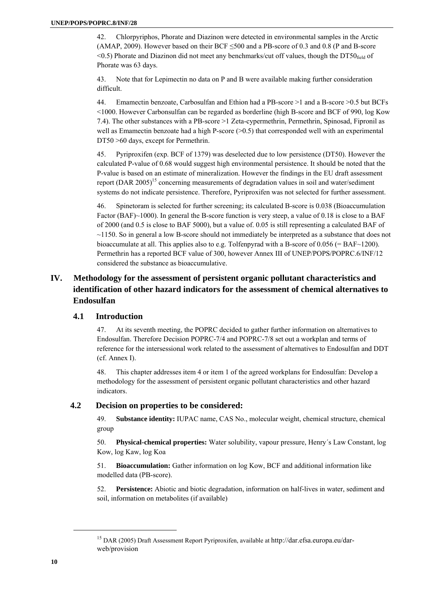42. Chlorpyriphos, Phorate and Diazinon were detected in environmental samples in the Arctic (AMAP, 2009). However based on their BCF ≤500 and a PB-score of 0.3 and 0.8 (P and B-score  $\leq$ 0.5) Phorate and Diazinon did not meet any benchmarks/cut off values, though the DT50 $_{\text{field}}$  of Phorate was 63 days.

43. Note that for Lepimectin no data on P and B were available making further consideration difficult.

44. Emamectin benzoate, Carbosulfan and Ethion had a PB-score >1 and a B-score >0.5 but BCFs <1000. However Carbonsulfan can be regarded as borderline (high B-score and BCF of 990, log Kow 7.4). The other substances with a PB-score >1 Zeta-cypermethrin, Permethrin, Spinosad, Fipronil as well as Emamectin benzoate had a high P-score  $(0.5)$  that corresponded well with an experimental DT50 >60 days, except for Permethrin.

45. Pyriproxifen (exp. BCF of 1379) was deselected due to low persistence (DT50). However the calculated P-value of 0.68 would suggest high environmental persistence. It should be noted that the P-value is based on an estimate of mineralization. However the findings in the EU draft assessment report (DAR 2005)<sup>15</sup> concerning measurements of degradation values in soil and water/sediment systems do not indicate persistence. Therefore, Pyriproxifen was not selected for further assessment.

46. Spinetoram is selected for further screening; its calculated B-score is 0.038 (Bioaccumulation Factor (BAF)~1000). In general the B-score function is very steep, a value of 0.18 is close to a BAF of 2000 (and 0.5 is close to BAF 5000), but a value of. 0.05 is still representing a calculated BAF of ~1150. So in general a low B-score should not immediately be interpreted as a substance that does not bioaccumulate at all. This applies also to e.g. Tolfenpyrad with a B-score of  $0.056$  (= BAF $\sim$ 1200). Permethrin has a reported BCF value of 300, however Annex III of UNEP/POPS/POPRC.6/INF/12 considered the substance as bioaccumulative.

## **IV. Methodology for the assessment of persistent organic pollutant characteristics and identification of other hazard indicators for the assessment of chemical alternatives to Endosulfan**

#### **4.1 Introduction**

47. At its seventh meeting, the POPRC decided to gather further information on alternatives to Endosulfan. Therefore Decision POPRC-7/4 and POPRC-7/8 set out a workplan and terms of reference for the intersessional work related to the assessment of alternatives to Endosulfan and DDT (cf. Annex I).

48. This chapter addresses item 4 or item 1 of the agreed workplans for Endosulfan: Develop a methodology for the assessment of persistent organic pollutant characteristics and other hazard indicators.

#### **4.2 Decision on properties to be considered:**

49. **Substance identity:** IUPAC name, CAS No., molecular weight, chemical structure, chemical group

50. **Physical-chemical properties:** Water solubility, vapour pressure, Henry´s Law Constant, log Kow, log Kaw, log Koa

51. **Bioaccumulation:** Gather information on log Kow, BCF and additional information like modelled data (PB-score).

52. **Persistence:** Abiotic and biotic degradation, information on half-lives in water, sediment and soil, information on metabolites (if available)

<sup>&</sup>lt;sup>15</sup> DAR (2005) Draft Assessment Report Pyriproxifen, available at http://dar.efsa.europa.eu/darweb/provision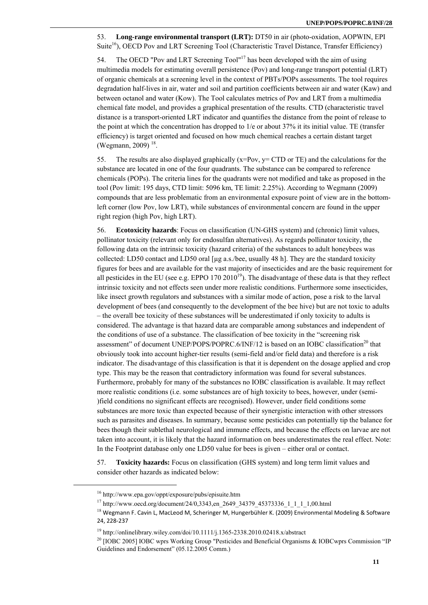53. **Long-range environmental transport (LRT):** DT50 in air (photo-oxidation, AOPWIN, EPI Suite<sup>16</sup>), OECD Pov and LRT Screening Tool (Characteristic Travel Distance, Transfer Efficiency)

54. The OECD "Pov and LRT Screening Tool"17 has been developed with the aim of using multimedia models for estimating overall persistence (Pov) and long-range transport potential (LRT) of organic chemicals at a screening level in the context of PBTs/POPs assessments. The tool requires degradation half-lives in air, water and soil and partition coefficients between air and water (Kaw) and between octanol and water (Kow). The Tool calculates metrics of Pov and LRT from a multimedia chemical fate model, and provides a graphical presentation of the results. CTD (characteristic travel distance is a transport-oriented LRT indicator and quantifies the distance from the point of release to the point at which the concentration has dropped to 1/e or about 37% it its initial value. TE (transfer efficiency) is target oriented and focused on how much chemical reaches a certain distant target (Wegmann, 2009)<sup>18</sup>.

55. The results are also displayed graphically  $(x=Pov, y= CTD \text{ or } TE)$  and the calculations for the substance are located in one of the four quadrants. The substance can be compared to reference chemicals (POPs). The criteria lines for the quadrants were not modified and take as proposed in the tool (Pov limit: 195 days, CTD limit: 5096 km, TE limit: 2.25%). According to Wegmann (2009) compounds that are less problematic from an environmental exposure point of view are in the bottomleft corner (low Pov, low LRT), while substances of environmental concern are found in the upper right region (high Pov, high LRT).

56. **Ecotoxicity hazards**: Focus on classification (UN-GHS system) and (chronic) limit values, pollinator toxicity (relevant only for endosulfan alternatives). As regards pollinator toxicity, the following data on the intrinsic toxicity (hazard criteria) of the substances to adult honeybees was collected: LD50 contact and LD50 oral  $\lceil \mu g \rceil$  a.s./bee, usually 48 h]. They are the standard toxicity figures for bees and are available for the vast majority of insecticides and are the basic requirement for all pesticides in the EU (see e.g. EPPO  $170\ 2010^{19}$ ). The disadvantage of these data is that they reflect intrinsic toxicity and not effects seen under more realistic conditions. Furthermore some insecticides, like insect growth regulators and substances with a similar mode of action, pose a risk to the larval development of bees (and consequently to the development of the bee hive) but are not toxic to adults – the overall bee toxicity of these substances will be underestimated if only toxicity to adults is considered. The advantage is that hazard data are comparable among substances and independent of the conditions of use of a substance. The classification of bee toxicity in the "screening risk assessment" of document UNEP/POPS/POPRC.6/INF/12 is based on an IOBC classification<sup>20</sup> that obviously took into account higher-tier results (semi-field and/or field data) and therefore is a risk indicator. The disadvantage of this classification is that it is dependent on the dosage applied and crop type. This may be the reason that contradictory information was found for several substances. Furthermore, probably for many of the substances no IOBC classification is available. It may reflect more realistic conditions (i.e. some substances are of high toxicity to bees, however, under (semi- )field conditions no significant effects are recognised). However, under field conditions some substances are more toxic than expected because of their synergistic interaction with other stressors such as parasites and diseases. In summary, because some pesticides can potentially tip the balance for bees though their sublethal neurological and immune effects, and because the effects on larvae are not taken into account, it is likely that the hazard information on bees underestimates the real effect. Note: In the Footprint database only one LD50 value for bees is given – either oral or contact.

57. **Toxicity hazards:** Focus on classification (GHS system) and long term limit values and consider other hazards as indicated below:

<sup>&</sup>lt;sup>16</sup> http://www.epa.gov/oppt/exposure/pubs/episuite.htm<br><sup>17</sup> http://www.oecd.org/document/24/0,3343,en\_2649\_34379\_45373336\_1\_1\_1\_1,00.html<br><sup>18</sup> Wegmann F. Cavin L, MacLeod M, Scheringer M, Hungerbühler K. (2009) Environme 24, 228‐237

<sup>&</sup>lt;sup>19</sup> http://onlinelibrary.wiley.com/doi/10.1111/j.1365-2338.2010.02418.x/abstract<br><sup>20</sup> [IOBC 2005] IOBC wprs Working Group "Pesticides and Beneficial Organisms & IOBCwprs Commission "IP Guidelines and Endorsement" (05.12.2005 Comm.)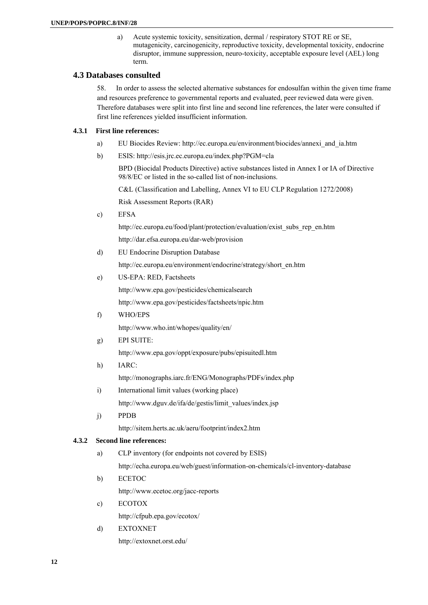a) Acute systemic toxicity, sensitization, dermal / respiratory STOT RE or SE, mutagenicity, carcinogenicity, reproductive toxicity, developmental toxicity, endocrine disruptor, immune suppression, neuro-toxicity, acceptable exposure level (AEL) long term.

#### **4.3 Databases consulted**

58. In order to assess the selected alternative substances for endosulfan within the given time frame and resources preference to governmental reports and evaluated, peer reviewed data were given. Therefore databases were split into first line and second line references, the later were consulted if first line references yielded insufficient information.

#### **4.3.1 First line references:**

- a) EU Biocides Review: http://ec.europa.eu/environment/biocides/annexi\_and\_ia.htm
- b) ESIS: http://esis.jrc.ec.europa.eu/index.php?PGM=cla

BPD (Biocidal Products Directive) active substances listed in Annex I or IA of Directive 98/8/EC or listed in the so-called list of non-inclusions.

C&L (Classification and Labelling, Annex VI to EU CLP Regulation 1272/2008)

Risk Assessment Reports (RAR)

c) EFSA

http://ec.europa.eu/food/plant/protection/evaluation/exist\_subs\_rep\_en.htm http://dar.efsa.europa.eu/dar-web/provision

d) EU Endocrine Disruption Database http://ec.europa.eu/environment/endocrine/strategy/short\_en.htm e) US-EPA: RED, Factsheets

http://www.epa.gov/pesticides/chemicalsearch

http://www.epa.gov/pesticides/factsheets/npic.htm

- f) WHO/EPS http://www.who.int/whopes/quality/en/
- g) EPI SUITE:

http://www.epa.gov/oppt/exposure/pubs/episuitedl.htm

- h) IARC: http://monographs.iarc.fr/ENG/Monographs/PDFs/index.php
- i) International limit values (working place) http://www.dguv.de/ifa/de/gestis/limit\_values/index.jsp
- j) PPDB

http://sitem.herts.ac.uk/aeru/footprint/index2.htm

#### **4.3.2 Second line references:**

- a) CLP inventory (for endpoints not covered by ESIS) http://echa.europa.eu/web/guest/information-on-chemicals/cl-inventory-database
- b) ECETOC http://www.ecetoc.org/jacc-reports
- c) ECOTOX

http://cfpub.epa.gov/ecotox/

d) EXTOXNET http://extoxnet.orst.edu/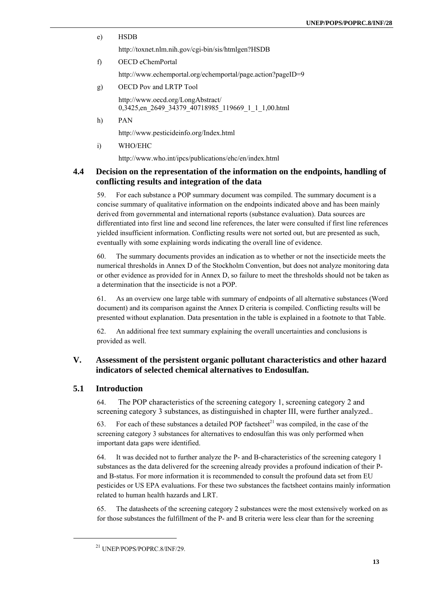e) HSDB

http://toxnet.nlm.nih.gov/cgi-bin/sis/htmlgen?HSDB

f) OECD eChemPortal

http://www.echemportal.org/echemportal/page.action?pageID=9

g) OECD Pov and LRTP Tool

http://www.oecd.org/LongAbstract/ 0,3425,en\_2649\_34379\_40718985\_119669\_1\_1\_1,00.html

h) PAN

http://www.pesticideinfo.org/Index.html

i) WHO/EHC

http://www.who.int/ipcs/publications/ehc/en/index.html

### **4.4 Decision on the representation of the information on the endpoints, handling of conflicting results and integration of the data**

59. For each substance a POP summary document was compiled. The summary document is a concise summary of qualitative information on the endpoints indicated above and has been mainly derived from governmental and international reports (substance evaluation). Data sources are differentiated into first line and second line references, the later were consulted if first line references yielded insufficient information. Conflicting results were not sorted out, but are presented as such, eventually with some explaining words indicating the overall line of evidence.

60. The summary documents provides an indication as to whether or not the insecticide meets the numerical thresholds in Annex D of the Stockholm Convention, but does not analyze monitoring data or other evidence as provided for in Annex D, so failure to meet the thresholds should not be taken as a determination that the insecticide is not a POP.

61. As an overview one large table with summary of endpoints of all alternative substances (Word document) and its comparison against the Annex D criteria is compiled. Conflicting results will be presented without explanation. Data presentation in the table is explained in a footnote to that Table.

62. An additional free text summary explaining the overall uncertainties and conclusions is provided as well.

### **V. Assessment of the persistent organic pollutant characteristics and other hazard indicators of selected chemical alternatives to Endosulfan.**

#### **5.1 Introduction**

64. The POP characteristics of the screening category 1, screening category 2 and screening category 3 substances, as distinguished in chapter III, were further analyzed..

63. For each of these substances a detailed POP factsheet<sup>21</sup> was compiled, in the case of the screening category 3 substances for alternatives to endosulfan this was only performed when important data gaps were identified.

64. It was decided not to further analyze the P- and B-characteristics of the screening category 1 substances as the data delivered for the screening already provides a profound indication of their Pand B-status. For more information it is recommended to consult the profound data set from EU pesticides or US EPA evaluations. For these two substances the factsheet contains mainly information related to human health hazards and LRT.

65. The datasheets of the screening category 2 substances were the most extensively worked on as for those substances the fulfillment of the P- and B criteria were less clear than for the screening

<sup>21</sup> UNEP/POPS/POPRC.8/INF/29.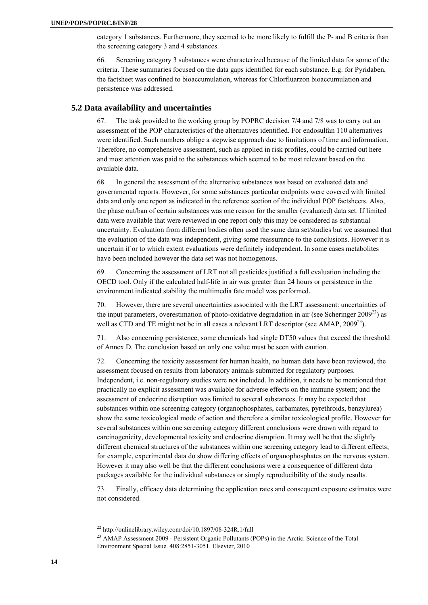category 1 substances. Furthermore, they seemed to be more likely to fulfill the P- and B criteria than the screening category 3 and 4 substances.

66. Screening category 3 substances were characterized because of the limited data for some of the criteria. These summaries focused on the data gaps identified for each substance. E.g. for Pyridaben, the factsheet was confined to bioaccumulation, whereas for Chlorfluarzon bioaccumulation and persistence was addressed.

#### **5.2 Data availability and uncertainties**

67. The task provided to the working group by POPRC decision 7/4 and 7/8 was to carry out an assessment of the POP characteristics of the alternatives identified. For endosulfan 110 alternatives were identified. Such numbers oblige a stepwise approach due to limitations of time and information. Therefore, no comprehensive assessment, such as applied in risk profiles, could be carried out here and most attention was paid to the substances which seemed to be most relevant based on the available data.

68. In general the assessment of the alternative substances was based on evaluated data and governmental reports. However, for some substances particular endpoints were covered with limited data and only one report as indicated in the reference section of the individual POP factsheets. Also, the phase out/ban of certain substances was one reason for the smaller (evaluated) data set. If limited data were available that were reviewed in one report only this may be considered as substantial uncertainty. Evaluation from different bodies often used the same data set/studies but we assumed that the evaluation of the data was independent, giving some reassurance to the conclusions. However it is uncertain if or to which extent evaluations were definitely independent. In some cases metabolites have been included however the data set was not homogenous.

69. Concerning the assessment of LRT not all pesticides justified a full evaluation including the OECD tool. Only if the calculated half-life in air was greater than 24 hours or persistence in the environment indicated stability the multimedia fate model was performed.

70. However, there are several uncertainties associated with the LRT assessment: uncertainties of the input parameters, overestimation of photo-oxidative degradation in air (see Scheringer  $2009^{22}$ ) as well as CTD and TE might not be in all cases a relevant LRT descriptor (see AMAP, 2009<sup>23</sup>).

71. Also concerning persistence, some chemicals had single DT50 values that exceed the threshold of Annex D. The conclusion based on only one value must be seen with caution.

72. Concerning the toxicity assessment for human health, no human data have been reviewed, the assessment focused on results from laboratory animals submitted for regulatory purposes. Independent, i.e. non-regulatory studies were not included. In addition, it needs to be mentioned that practically no explicit assessment was available for adverse effects on the immune system; and the assessment of endocrine disruption was limited to several substances. It may be expected that substances within one screening category (organophosphates, carbamates, pyrethroids, benzylurea) show the same toxicological mode of action and therefore a similar toxicological profile. However for several substances within one screening category different conclusions were drawn with regard to carcinogenicity, developmental toxicity and endocrine disruption. It may well be that the slightly different chemical structures of the substances within one screening category lead to different effects; for example, experimental data do show differing effects of organophosphates on the nervous system. However it may also well be that the different conclusions were a consequence of different data packages available for the individual substances or simply reproducibility of the study results.

73. Finally, efficacy data determining the application rates and consequent exposure estimates were not considered.

 $^{22}$  http://onlinelibrary.wiley.com/doi/10.1897/08-324R.1/full  $^{23}$  AMAP Assessment 2009 - Persistent Organic Pollutants (POPs) in the Arctic. Science of the Total Environment Special Issue. 408:2851-3051. Elsevier, 2010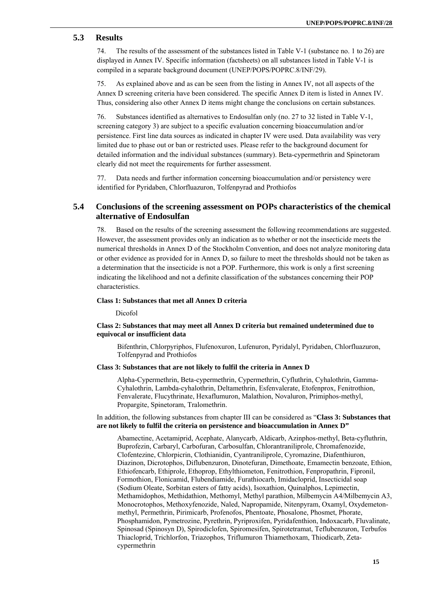#### **5.3 Results**

74. The results of the assessment of the substances listed in Table V-1 (substance no. 1 to 26) are displayed in Annex IV. Specific information (factsheets) on all substances listed in Table V-1 is compiled in a separate background document (UNEP/POPS/POPRC.8/INF/29).

75. As explained above and as can be seen from the listing in Annex IV, not all aspects of the Annex D screening criteria have been considered. The specific Annex D item is listed in Annex IV. Thus, considering also other Annex D items might change the conclusions on certain substances.

76. Substances identified as alternatives to Endosulfan only (no. 27 to 32 listed in Table V-1, screening category 3) are subject to a specific evaluation concerning bioaccumulation and/or persistence. First line data sources as indicated in chapter IV were used. Data availability was very limited due to phase out or ban or restricted uses. Please refer to the background document for detailed information and the individual substances (summary). Beta-cypermethrin and Spinetoram clearly did not meet the requirements for further assessment.

77. Data needs and further information concerning bioaccumulation and/or persistency were identified for Pyridaben, Chlorfluazuron, Tolfenpyrad and Prothiofos

### **5.4 Conclusions of the screening assessment on POPs characteristics of the chemical alternative of Endosulfan**

78. Based on the results of the screening assessment the following recommendations are suggested. However, the assessment provides only an indication as to whether or not the insecticide meets the numerical thresholds in Annex D of the Stockholm Convention, and does not analyze monitoring data or other evidence as provided for in Annex D, so failure to meet the thresholds should not be taken as a determination that the insecticide is not a POP. Furthermore, this work is only a first screening indicating the likelihood and not a definite classification of the substances concerning their POP characteristics.

#### **Class 1: Substances that met all Annex D criteria**

Dicofol

#### **Class 2: Substances that may meet all Annex D criteria but remained undetermined due to equivocal or insufficient data**

Bifenthrin, Chlorpyriphos, Flufenoxuron, Lufenuron, Pyridalyl, Pyridaben, Chlorfluazuron, Tolfenpyrad and Prothiofos

#### **Class 3: Substances that are not likely to fulfil the criteria in Annex D**

Alpha-Cypermethrin, Beta-cypermethrin, Cypermethrin, Cyfluthrin, Cyhalothrin, Gamma-Cyhalothrin, Lambda-cyhalothrin, Deltamethrin, Esfenvalerate, Etofenprox, Fenitrothion, Fenvalerate, Flucythrinate, Hexaflumuron, Malathion, Novaluron, Primiphos-methyl, Propargite, Spinetoram, Tralomethrin.

#### In addition, the following substances from chapter III can be considered as "**Class 3: Substances that are not likely to fulfil the criteria on persistence and bioaccumulation in Annex D"**

Abamectine, Acetamiprid, Acephate, Alanycarb, Aldicarb, Azinphos-methyl, Beta-cyfluthrin, Buprofezin, Carbaryl, Carbofuran, Carbosulfan, Chlorantraniliprole, Chromafenozide, Clofentezine, Chlorpicrin, Clothianidin, Cyantraniliprole, Cyromazine, Diafenthiuron, Diazinon, Dicrotophos, Diflubenzuron, Dinotefuran, Dimethoate, Emamectin benzoate, Ethion, Ethiofencarb, Ethiprole, Ethoprop, Ethylthiometon, Fenitrothion, Fenpropathrin, Fipronil, Formothion, Flonicamid, Flubendiamide, Furathiocarb, Imidacloprid, Insecticidal soap (Sodium Oleate, Sorbitan esters of fatty acids), Isoxathion, Quinalphos, Lepimectin, Methamidophos, Methidathion, Methomyl, Methyl parathion, Milbemycin A4/Milbemycin A3, Monocrotophos, Methoxyfenozide, Naled, Napropamide, Nitenpyram, Oxamyl, Oxydemetonmethyl, Permethrin, Pirimicarb, Profenofos, Phentoate, Phosalone, Phosmet, Phorate, Phosphamidon, Pymetrozine, Pyrethrin, Pyriproxifen, Pyridafenthion, Indoxacarb, Fluvalinate, Spinosad (Spinosyn D), Spirodiclofen, Spiromesifen, Spirotetramat, Teflubenzuron, Terbufos Thiacloprid, Trichlorfon, Triazophos, Triflumuron Thiamethoxam, Thiodicarb, Zetacypermethrin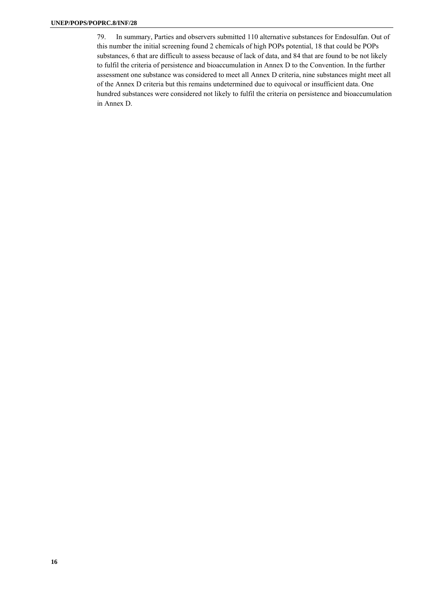79. In summary, Parties and observers submitted 110 alternative substances for Endosulfan. Out of this number the initial screening found 2 chemicals of high POPs potential, 18 that could be POPs substances, 6 that are difficult to assess because of lack of data, and 84 that are found to be not likely to fulfil the criteria of persistence and bioaccumulation in Annex D to the Convention. In the further assessment one substance was considered to meet all Annex D criteria, nine substances might meet all of the Annex D criteria but this remains undetermined due to equivocal or insufficient data. One hundred substances were considered not likely to fulfil the criteria on persistence and bioaccumulation in Annex D.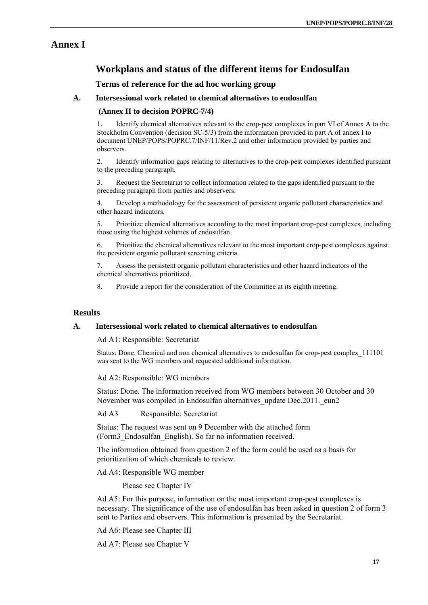# **Annex I**

## **Workplans and status of the different items for Endosulfan**

#### **Terms of reference for the ad hoc working group**

#### **A. Intersessional work related to chemical alternatives to endosulfan**

#### **(Annex II to decision POPRC-7/4)**

1. Identify chemical alternatives relevant to the crop-pest complexes in part VI of Annex A to the Stockholm Convention (decision SC-5/3) from the information provided in part A of annex I to document UNEP/POPS/POPRC.7/INF/11/Rev.2 and other information provided by parties and observers.

2. Identify information gaps relating to alternatives to the crop-pest complexes identified pursuant to the preceding paragraph.

3. Request the Secretariat to collect information related to the gaps identified pursuant to the preceding paragraph from parties and observers.

4. Develop a methodology for the assessment of persistent organic pollutant characteristics and other hazard indicators.

5. Prioritize chemical alternatives according to the most important crop-pest complexes, including those using the highest volumes of endosulfan.

6. Prioritize the chemical alternatives relevant to the most important crop-pest complexes against the persistent organic pollutant screening criteria.

7. Assess the persistent organic pollutant characteristics and other hazard indicators of the chemical alternatives prioritized.

8. Provide a report for the consideration of the Committee at its eighth meeting.

#### **Results**

#### **A. Intersessional work related to chemical alternatives to endosulfan**

Ad A1: Responsible: Secretariat

Status: Done. Chemical and non chemical alternatives to endosulfan for crop-pest complex\_111101 was sent to the WG members and requested additional information.

Ad A2: Responsible: WG members

Status: Done. The information received from WG members between 30 October and 30 November was compiled in Endosulfan alternatives update Dec.2011. eun2.

Ad A3 Responsible: Secretariat

Status: The request was sent on 9 December with the attached form (Form3\_Endosulfan\_English). So far no information received.

The information obtained from question 2 of the form could be used as a basis for prioritization of which chemicals to review.

Ad A4: Responsible WG member

Please see Chapter IV

Ad A5: For this purpose, information on the most important crop-pest complexes is necessary. The significance of the use of endosulfan has been asked in question 2 of form 3 sent to Parties and observers. This information is presented by the Secretariat.

Ad A6: Please see Chapter III

Ad A7: Please see Chapter V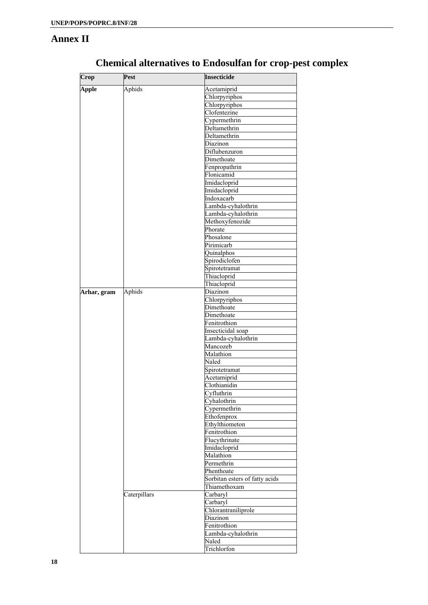# **Annex II**

| Crop         | Pest         | <b>Insecticide</b>             |
|--------------|--------------|--------------------------------|
| <b>Apple</b> | Aphids       | Acetamiprid                    |
|              |              | Chlorpyriphos                  |
|              |              | Chlorpyriphos                  |
|              |              | Clofentezine                   |
|              |              | Cypermethrin                   |
|              |              | Deltamethrin                   |
|              |              | Deltamethrin                   |
|              |              | Diazinon                       |
|              |              | Diflubenzuron                  |
|              |              | Dimethoate                     |
|              |              | Fenpropathrin                  |
|              |              | Flonicamid                     |
|              |              | Imidacloprid                   |
|              |              | Imidacloprid                   |
|              |              | Indoxacarb                     |
|              |              | Lambda-cyhalothrin             |
|              |              | Lambda-cyhalothrin             |
|              |              | Methoxyfenozide                |
|              |              | Phorate                        |
|              |              | Phosalone                      |
|              |              | Pirimicarb                     |
|              |              | Quinalphos                     |
|              |              |                                |
|              |              | Spirodiclofen                  |
|              |              | Spirotetramat                  |
|              |              | Thiacloprid                    |
|              |              | Thiacloprid                    |
| Arhar, gram  | Aphids       | Diazinon                       |
|              |              | Chlorpyriphos                  |
|              |              | Dimethoate                     |
|              |              | Dimethoate                     |
|              |              | Fenitrothion                   |
|              |              | Insecticidal soap              |
|              |              | Lambda-cyhalothrin             |
|              |              | Mancozeb                       |
|              |              | Malathion                      |
|              |              | Naled                          |
|              |              | Spirotetramat                  |
|              |              | Acetamiprid                    |
|              |              | Clothianidin                   |
|              |              | Cyfluthrin                     |
|              |              | Cyhalothrin                    |
|              |              | Cypermethrin                   |
|              |              | Ethofenprox                    |
|              |              | Ethylthiometon                 |
|              |              | Fenitrothion                   |
|              |              | Flucythrinate                  |
|              |              | Imidacloprid                   |
|              |              | Malathion                      |
|              |              | Permethrin                     |
|              |              | Phenthoate                     |
|              |              | Sorbitan esters of fatty acids |
|              |              |                                |
|              |              | Thiamethoxam                   |
|              | Caterpillars | Carbaryl                       |
|              |              | Carbaryl                       |
|              |              | Chlorantraniliprole            |
|              |              | Diazinon                       |
|              |              | Fenitrothion                   |
|              |              | Lambda-cyhalothrin             |
|              |              | Naled                          |
|              |              | Trichlorfon                    |

# **Chemical alternatives to Endosulfan for crop-pest complex**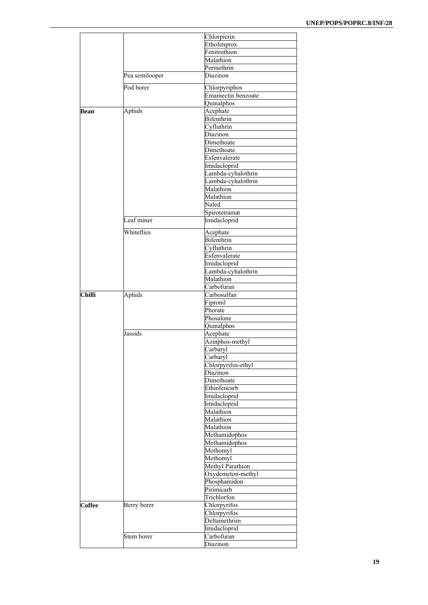|               |                | Chlorpicrin                         |
|---------------|----------------|-------------------------------------|
|               |                | Ethofenprox                         |
|               |                | Fenitrothion                        |
|               |                |                                     |
|               |                | Malathion                           |
|               |                | Permethrin                          |
|               | Pea semilooper | Diazinon                            |
|               | Pod borer      |                                     |
|               |                | Chlorpyriphos<br>Emamectin benzoate |
|               |                |                                     |
|               |                | Quinalphos                          |
| Bean          | Aphids         | Acephate                            |
|               |                | Bifenthrin                          |
|               |                | Cyfluthrin                          |
|               |                | Diazinon                            |
|               |                | Dimethoate                          |
|               |                | Dimethoate                          |
|               |                |                                     |
|               |                | Esfenvalerate                       |
|               |                | Imidacloprid                        |
|               |                | Lambda-cyhalothrin                  |
|               |                | Lambda-cyhalothrin                  |
|               |                | Malathion                           |
|               |                |                                     |
|               |                | Malathion                           |
|               |                | Naled                               |
|               |                | Spirotetramat                       |
|               | Leaf miner     | Imidacloprid                        |
|               |                |                                     |
|               | Whiteflies     | Acephate                            |
|               |                | Bifenthrin                          |
|               |                | Cyfluthrin                          |
|               |                | Esfenvalerate                       |
|               |                |                                     |
|               |                | Imidacloprid                        |
|               |                | Lambda-cyhalothrin                  |
|               |                | Malathion                           |
|               |                | Carbofuran                          |
| <b>Chilli</b> | Aphids         | Carbosulfan                         |
|               |                | Fipronil                            |
|               |                | Phorate                             |
|               |                |                                     |
|               |                | Phosalone                           |
|               |                | Quinalphos                          |
|               | Jassids        | Acephate                            |
|               |                | Azinphos-methyl                     |
|               |                | Carbaryl                            |
|               |                | Carbaryl                            |
|               |                |                                     |
|               |                | Chlorpyrifos-ethyl                  |
|               |                | Diazinon                            |
|               |                | Dimethoate                          |
|               |                | Ethiofencarb                        |
|               |                | Imidacloprid                        |
|               |                | Imidacloprid                        |
|               |                |                                     |
|               |                | Malathion                           |
|               |                | Malathion                           |
|               |                | Malathion                           |
|               |                | Methamidophos                       |
|               |                | Methamidophos                       |
|               |                | Methomyl                            |
|               |                |                                     |
|               |                | Methomyl                            |
|               |                | Methyl Parathion                    |
|               |                | Oxydemeton-methyl                   |
|               |                | Phosphamidon                        |
|               |                | Pirimicarb                          |
|               |                | Trichlorfon                         |
|               |                |                                     |
| <b>Coffee</b> | Berry borer    | Chlorpyrifos                        |
|               |                | Chlorpyrifos                        |
|               |                | Deltamethrim                        |
|               |                | Imidacloprid                        |
|               | Stem borer     | Carbofuran                          |
|               |                |                                     |
|               |                | Diazinon                            |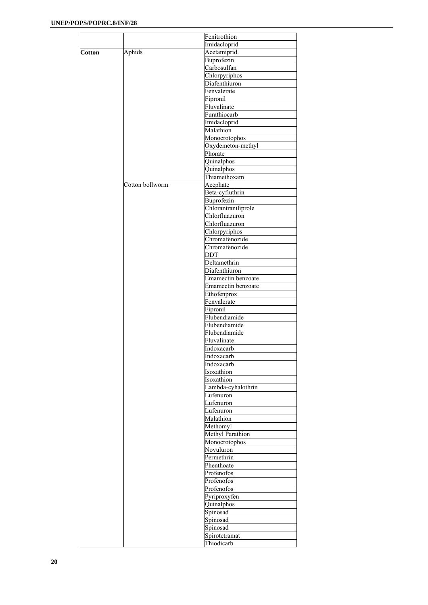|               |                 | Fenitrothion        |
|---------------|-----------------|---------------------|
|               |                 | Imidacloprid        |
| <b>Cotton</b> | Aphids          | Acetamiprid         |
|               |                 | Buprofezin          |
|               |                 | Carbosulfan         |
|               |                 | Chlorpyriphos       |
|               |                 |                     |
|               |                 | Diafenthiuron       |
|               |                 | Fenvalerate         |
|               |                 | Fipronil            |
|               |                 | Fluvalinate         |
|               |                 | Furathiocarb        |
|               |                 | Imidacloprid        |
|               |                 |                     |
|               |                 | Malathion           |
|               |                 | Monocrotophos       |
|               |                 | Oxydemeton-methyl   |
|               |                 | Phorate             |
|               |                 | Quinalphos          |
|               |                 | Quinalphos          |
|               |                 |                     |
|               |                 | Thiamethoxam        |
|               | Cotton bollworm | Acephate            |
|               |                 | Beta-cyfluthrin     |
|               |                 | Buprofezin          |
|               |                 | Chlorantraniliprole |
|               |                 | Chlorfluazuron      |
|               |                 |                     |
|               |                 | Chlorfluazuron      |
|               |                 | Chlorpyriphos       |
|               |                 | Chromafenozide      |
|               |                 | Chromafenozide      |
|               |                 | <b>DDT</b>          |
|               |                 | Deltamethrin        |
|               |                 |                     |
|               |                 | Diafenthiuron       |
|               |                 | Emamectin benzoate  |
|               |                 | Emamectin benzoate  |
|               |                 | Ethofenprox         |
|               |                 | Fenvalerate         |
|               |                 | Fipronil            |
|               |                 | Flubendiamide       |
|               |                 |                     |
|               |                 | Flubendiamide       |
|               |                 | Flubendiamide       |
|               |                 | Fluvalinate         |
|               |                 | Indoxacarb          |
|               |                 | Indoxacarb          |
|               |                 | Indoxacarb          |
|               |                 |                     |
|               |                 | Isoxathion          |
|               |                 | Isoxathion          |
|               |                 | Lambda-cyhalothrin  |
|               |                 | Lufenuron           |
|               |                 | Lufenuron           |
|               |                 | Lufenuron           |
|               |                 |                     |
|               |                 | Malathion           |
|               |                 | Methomyl            |
|               |                 | Methyl Parathion    |
|               |                 | Monocrotophos       |
|               |                 | Novuluron           |
|               |                 | Permethrin          |
|               |                 |                     |
|               |                 | Phenthoate          |
|               |                 | Profenofos          |
|               |                 | Profenofos          |
|               |                 | Profenofos          |
|               |                 | Pyriproxyfen        |
|               |                 |                     |
|               |                 | Quinalphos          |
|               |                 | Spinosad            |
|               |                 | Spinosad            |
|               |                 | Spinosad            |
|               |                 | Spirotetramat       |
|               |                 | Thiodicarb          |
|               |                 |                     |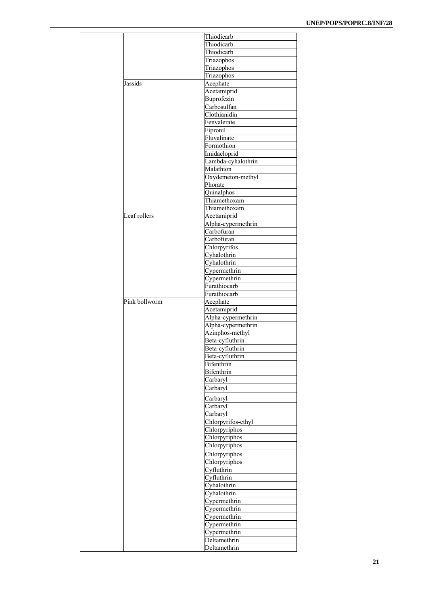|               | Thiodicarb         |
|---------------|--------------------|
|               | Thiodicarb         |
|               | Thiodicarb         |
|               | Triazophos         |
|               | Triazophos         |
|               | Triazophos         |
| Jassids       | Acephate           |
|               | Acetamiprid        |
|               | Buprofezin         |
|               | Carbosulfan        |
|               | Clothianidin       |
|               | Fenvalerate        |
|               | Fipronil           |
|               | Fluvalinate        |
|               | Formothion         |
|               | Imidacloprid       |
|               | Lambda-cyhalothrin |
|               | Malathion          |
|               | Oxydemeton-methyl  |
|               | Phorate            |
|               | Quinalphos         |
|               | Thiamethoxam       |
|               | Thiamethoxam       |
| Leaf rollers  | Acetamiprid        |
|               | Alpha-cypermethrin |
|               | Carbofuran         |
|               | Carbofuran         |
|               | Chlorpyrifos       |
|               | Cyhalothrin        |
|               |                    |
|               | Cyhalothrin        |
|               | Cypermethrin       |
|               | Cypermethrin       |
|               | Furathiocarb       |
|               | Furathiocarb       |
| Pink bollworm | Acephate           |
|               | Acetamiprid        |
|               | Alpha-cypermethrin |
|               | Alpha-cypermethrin |
|               | Azinphos-methyl    |
|               | Beta-cyfluthrin    |
|               | Beta-cyfluthrin    |
|               | Beta-cyfluthrin    |
|               | Bifenthrin         |
|               | Bifenthrin         |
|               | Carbaryl           |
|               | Carbaryl           |
|               | Carbaryl           |
|               | Carbaryl           |
|               | Carbaryl           |
|               | Chlorpyrifos-ethyl |
|               | Chlorpyriphos      |
|               | Chlorpyriphos      |
|               | Chlorpyriphos      |
|               |                    |
|               | Chlorpyriphos      |
|               | Chlorpyriphos      |
|               | Cyfluthrin         |
|               | Cyfluthrin         |
|               | Cyhalothrin        |
|               | Cyhalothrin        |
|               | Cypermethrin       |
|               | Cypermethrin       |
|               | Cypermethrin       |
|               | Cypermethrin       |
|               | Cypermethrin       |
|               | Deltamethrin       |
|               | Deltamethrin       |
|               |                    |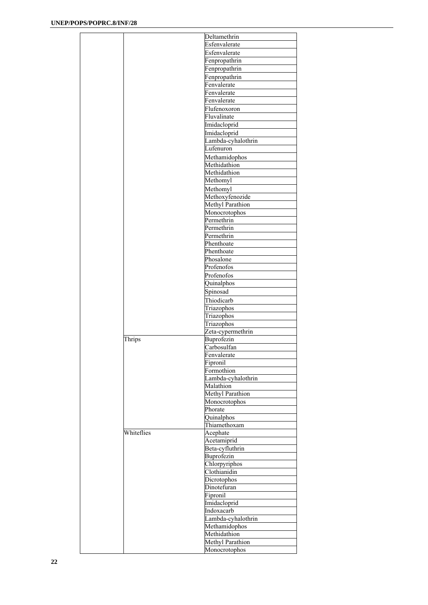|            | Deltamethrin                      |
|------------|-----------------------------------|
|            | Esfenvalerate                     |
|            | Esfenvalerate                     |
|            | Fenpropathrin                     |
|            | Fenpropathrin                     |
|            | Fenpropathrin                     |
|            | Fenvalerate                       |
|            |                                   |
|            | Fenvalerate                       |
|            | Fenvalerate                       |
|            | Flufenoxoron                      |
|            | Fluvalinate                       |
|            | Imidacloprid                      |
|            | Imidacloprid                      |
|            | Lambda-cyhalothrin                |
|            | Lufenuron                         |
|            |                                   |
|            | Methamidophos                     |
|            | Methidathion                      |
|            | Methidathion                      |
|            | Methomyl                          |
|            | Methomyl                          |
|            | Methoxyfenozide                   |
|            | Methyl Parathion                  |
|            | Monocrotophos                     |
|            | Permethrin                        |
|            | Permethrin                        |
|            | Permethrin                        |
|            | Phenthoate                        |
|            | Phenthoate                        |
|            | Phosalone                         |
|            |                                   |
|            | Profenofos                        |
|            | Profenofos                        |
|            | Quinalphos                        |
|            | Spinosad                          |
|            | Thiodicarb                        |
|            | Triazophos                        |
|            | Triazophos                        |
|            | Triazophos                        |
|            |                                   |
|            | Zeta-cypermethrin                 |
| Thrips     | Buprofezin                        |
|            | Carbosulfan                       |
|            | Fenvalerate                       |
|            | Fipronil                          |
|            | Formothion                        |
|            | Lambda-cyhalothrin                |
|            | Malathion                         |
|            | Methyl Parathion                  |
|            | Monocrotophos                     |
|            |                                   |
|            |                                   |
|            | Phorate                           |
|            | Quinalphos                        |
|            | Thiamethoxam                      |
| Whiteflies | Acephate                          |
|            | Acetamiprid                       |
|            | Beta-cyfluthrin                   |
|            | Buprofezin                        |
|            | Chlorpyriphos                     |
|            | Clothianidin                      |
|            | Dicrotophos                       |
|            | Dinotefuran                       |
|            |                                   |
|            | Fipronil                          |
|            | Imidacloprid                      |
|            | Indoxacarb                        |
|            | Lambda-cyhalothrin                |
|            | Methamidophos                     |
|            | Methidathion                      |
|            | Methyl Parathion<br>Monocrotophos |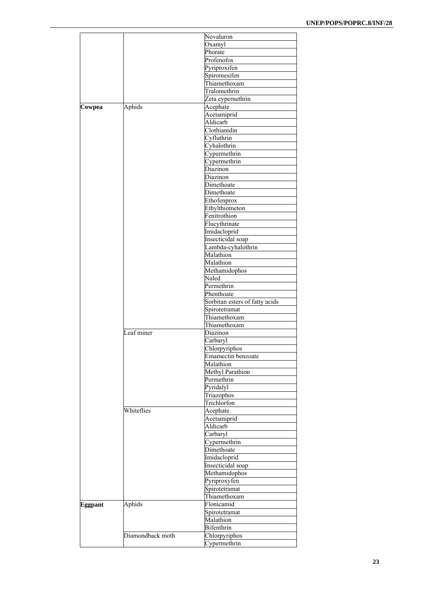|                |                  | Novaluron                      |
|----------------|------------------|--------------------------------|
|                |                  | Oxamyl                         |
|                |                  | Phorate                        |
|                |                  | Profenofos                     |
|                |                  | Pyriproxifen                   |
|                |                  |                                |
|                |                  | Spiromesifen                   |
|                |                  | Thiamethoxam                   |
|                |                  | Tralomethrin                   |
|                |                  | Zeta cypernethrin              |
| Cowpea         | Aphids           | Acephate                       |
|                |                  | Acetamiprid                    |
|                |                  |                                |
|                |                  | Aldicarb                       |
|                |                  | Clothianidin                   |
|                |                  | Cyfluthrin                     |
|                |                  | Cyhalothrin                    |
|                |                  | Cypermethrin                   |
|                |                  | Cypermethrin                   |
|                |                  |                                |
|                |                  | Diazinon                       |
|                |                  | Diazinon                       |
|                |                  | Dimethoate                     |
|                |                  | Dimethoate                     |
|                |                  | Ethofenprox                    |
|                |                  | Ethylthiometon                 |
|                |                  |                                |
|                |                  | Fenitrothion                   |
|                |                  | Flucythrinate                  |
|                |                  | Imidacloprid                   |
|                |                  | Insecticidal soap              |
|                |                  | Lambda-cyhalothrin             |
|                |                  | Malathion                      |
|                |                  |                                |
|                |                  | Malathion                      |
|                |                  | Methamidophos                  |
|                |                  | Naled                          |
|                |                  | Permethrin                     |
|                |                  | Phenthoate                     |
|                |                  |                                |
|                |                  | Sorbitan esters of fatty acids |
|                |                  | Spirotetramat                  |
|                |                  | Thiamethoxam                   |
|                |                  | Thiamethoxam                   |
|                | Leaf miner       | Diazinon                       |
|                |                  |                                |
|                |                  | Carbaryl                       |
|                |                  | Chlorpyriphos                  |
|                |                  | Emamectin benzoate             |
|                |                  | Malathion                      |
|                |                  | Methyl Parathion               |
|                |                  |                                |
|                |                  | Permethrin                     |
|                |                  | Pyridalyl                      |
|                |                  | Triazophos                     |
|                |                  | Trichlorfon                    |
|                | Whiteflies       | Acephate                       |
|                |                  |                                |
|                |                  | Acetamiprid                    |
|                |                  | Aldicarb                       |
|                |                  | Carbaryl                       |
|                |                  | Cypermethrin                   |
|                |                  | Dimethoate                     |
|                |                  | Imidacloprid                   |
|                |                  |                                |
|                |                  | Insecticidal soap              |
|                |                  | Methamidophos                  |
|                |                  | Pyriproxyfen                   |
|                |                  | Spirotetramat                  |
|                |                  | Thiamethoxam                   |
|                |                  |                                |
| <b>Eggpant</b> | Aphids           | Flonicamid                     |
|                |                  | Spirotetramat                  |
|                |                  | Malathion                      |
|                |                  | Bifenthrin                     |
|                | Diamondback moth | Chlorpyriphos                  |
|                |                  |                                |
|                |                  | Cypermethrin                   |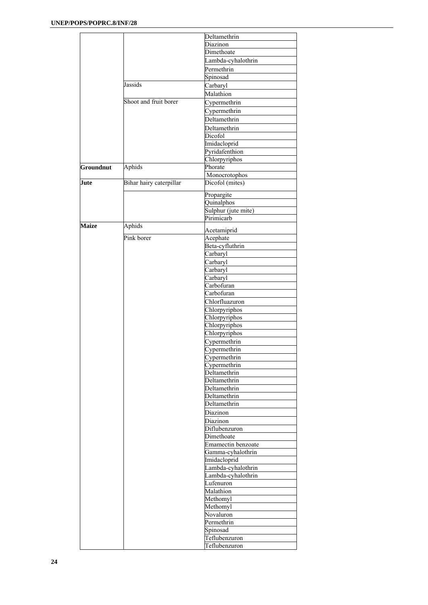|              |                         | Deltamethrin        |
|--------------|-------------------------|---------------------|
|              |                         | Diazinon            |
|              |                         | Dimethoate          |
|              |                         | Lambda-cyhalothrin  |
|              |                         | Permethrin          |
|              |                         | Spinosad            |
|              | Jassids                 | Carbaryl            |
|              |                         | Malathion           |
|              | Shoot and fruit borer   |                     |
|              |                         | Cypermethrin        |
|              |                         | Cypermethrin        |
|              |                         | Deltamethrin        |
|              |                         | Deltamethrin        |
|              |                         | Dicofol             |
|              |                         | Imidacloprid        |
|              |                         | Pyridafenthion      |
|              |                         | Chlorpyriphos       |
| Groundnut    | Aphids                  | Phorate             |
|              |                         | Monocrotophos       |
| Jute         | Bihar hairy caterpillar | Dicofol (mites)     |
|              |                         | Propargite          |
|              |                         | Quinalphos          |
|              |                         | Sulphur (jute mite) |
|              |                         | Pirimicarb          |
| <b>Maize</b> | Aphids                  |                     |
|              |                         | Acetamiprid         |
|              | Pink borer              | Acephate            |
|              |                         | Beta-cyfluthrin     |
|              |                         | Carbaryl            |
|              |                         | Carbaryl            |
|              |                         | Carbaryl            |
|              |                         | Carbaryl            |
|              |                         | Carbofuran          |
|              |                         | Carbofuran          |
|              |                         | Chlorfluazuron      |
|              |                         | Chlorpyriphos       |
|              |                         | Chlorpyriphos       |
|              |                         | Chlorpyriphos       |
|              |                         |                     |
|              |                         | Chlorpyriphos       |
|              |                         | Cypermethrin        |
|              |                         | Cypermethrin        |
|              |                         | Cypermethrin        |
|              |                         | Cypermethrin        |
|              |                         | Deltamethrin        |
|              |                         | Deltamethrin        |
|              |                         | Deltamethrin        |
|              |                         | Deltamethrin        |
|              |                         | Deltamethrin        |
|              |                         | Diazinon            |
|              |                         | Diazinon            |
|              |                         | Diflubenzuron       |
|              |                         | Dimethoate          |
|              |                         | Emamectin benzoate  |
|              |                         | Gamma-cyhalothrin   |
|              |                         |                     |
|              |                         | Imidacloprid        |
|              |                         | Lambda-cyhalothrin  |
|              |                         | Lambda-cyhalothrin  |
|              |                         | Lufenuron           |
|              |                         | Malathion           |
|              |                         | Methomyl            |
|              |                         | Methomyl            |
|              |                         | Novaluron           |
|              |                         | Permethrin          |
|              |                         | Spinosad            |
|              |                         | Teflubenzuron       |
|              |                         | Teflubenzuron       |
|              |                         |                     |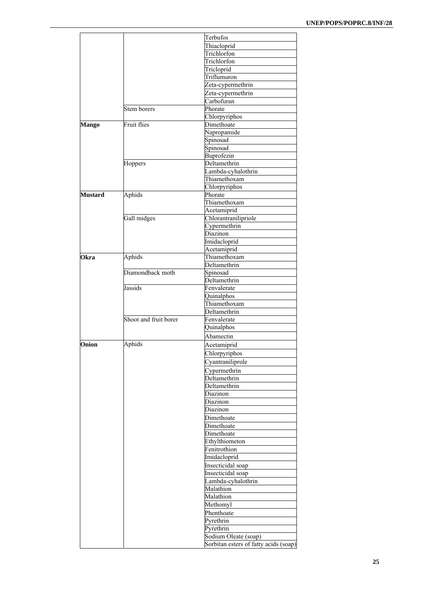|                |                       | Terbufos                              |
|----------------|-----------------------|---------------------------------------|
|                |                       | Thiacloprid                           |
|                |                       | Trichlorfon                           |
|                |                       | Trichlorfon                           |
|                |                       |                                       |
|                |                       | Tricloprid                            |
|                |                       | Triflumuron                           |
|                |                       | Zeta-cypermethrin                     |
|                |                       | Zeta-cypermethrin                     |
|                |                       | Carbofuran                            |
|                |                       |                                       |
|                | Stem borers           | Phorate                               |
|                |                       | Chlorpyriphos                         |
| <b>Mango</b>   | Fruit flies           | Dimethoate                            |
|                |                       | Napropamide                           |
|                |                       | Spinosad                              |
|                |                       | Spinosad                              |
|                |                       |                                       |
|                |                       | Buprofezin                            |
|                | Hoppers               | Deltamethrin                          |
|                |                       | Lambda-cyhalothrin                    |
|                |                       | Thiamethoxam                          |
|                |                       | Chlorpyriphos                         |
|                |                       |                                       |
| <b>Mustard</b> | Aphids                | Phorate                               |
|                |                       | Thiamethoxam                          |
|                |                       | Acetamiprid                           |
|                | Gall midges           | Chlorantranilipriole                  |
|                |                       | Cypermethrin                          |
|                |                       |                                       |
|                |                       | Diazinon                              |
|                |                       | Imidacloprid                          |
|                |                       | Acetamiprid                           |
| <b>Okra</b>    | Aphids                | Thiamethoxam                          |
|                |                       | Deltamethrin                          |
|                | Diamondback moth      |                                       |
|                |                       | Spinosad                              |
|                |                       | Deltamethrin                          |
|                | Jassids               | Fenvalerate                           |
|                |                       | Quinalphos                            |
|                |                       | Thiamethoxam                          |
|                |                       | Deltamethrin                          |
|                |                       |                                       |
|                | Shoot and fruit borer | Fenvalerate                           |
|                |                       | Quinalphos                            |
|                |                       | Abamectin                             |
| Onion          | Aphids                |                                       |
|                |                       | Acetamiprid                           |
|                |                       | Chlorpyriphos                         |
|                |                       | Cyantraniliprole                      |
|                |                       | Cypermethrin                          |
|                |                       |                                       |
|                |                       | Deltamethrin                          |
|                |                       | Deltamethrin                          |
|                |                       | Diazinon                              |
|                |                       | Diazinon                              |
|                |                       | Diazinon                              |
|                |                       |                                       |
|                |                       | Dimethoate                            |
|                |                       | Dimethoate                            |
|                |                       | Dimethoate                            |
|                |                       | Ethylthiometon                        |
|                |                       | Fenitrothion                          |
|                |                       |                                       |
|                |                       | Imidacloprid                          |
|                |                       | Insecticidal soap                     |
|                |                       | Insecticidal soap                     |
|                |                       | Lambda-cyhalothrin                    |
|                |                       |                                       |
|                |                       | Malathion                             |
|                |                       | Malathion                             |
|                |                       | Methomyl                              |
|                |                       | Phenthoate                            |
|                |                       |                                       |
|                |                       | Pyrethrin                             |
|                |                       | Pyrethrin                             |
|                |                       | Sodium Oleate (soap)                  |
|                |                       | Sorbitan esters of fatty acids (soap) |
|                |                       |                                       |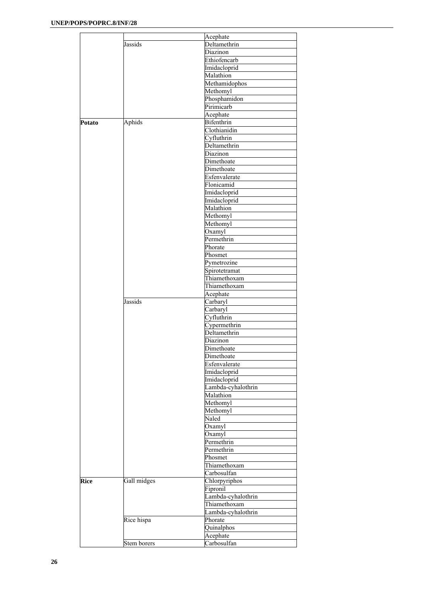|             |             | Acephate           |
|-------------|-------------|--------------------|
|             | Jassids     | Deltamethrin       |
|             |             | Diazinon           |
|             |             | Ethiofencarb       |
|             |             | Imidacloprid       |
|             |             | Malathion          |
|             |             | Methamidophos      |
|             |             | Methomyl           |
|             |             | Phosphamidon       |
|             |             |                    |
|             |             | Pirimicarb         |
|             |             | Acephate           |
| Potato      | Aphids      | Bifenthrin         |
|             |             | Clothianidin       |
|             |             | Cyfluthrin         |
|             |             | Deltamethrin       |
|             |             | Diazinon           |
|             |             | Dimethoate         |
|             |             | Dimethoate         |
|             |             | Esfenvalerate      |
|             |             | Flonicamid         |
|             |             | Imidacloprid       |
|             |             |                    |
|             |             | Imidacloprid       |
|             |             | Malathion          |
|             |             | Methomyl           |
|             |             | Methomyl           |
|             |             | Oxamyl             |
|             |             | Permethrin         |
|             |             | Phorate            |
|             |             | Phosmet            |
|             |             | Pymetrozine        |
|             |             | Spirotetramat      |
|             |             | Thiamethoxam       |
|             |             |                    |
|             |             | Thiamethoxam       |
|             |             | Acephate           |
|             | Jassids     | Carbaryl           |
|             |             | Carbaryl           |
|             |             | Cyfluthrin         |
|             |             | Cypermethrin       |
|             |             | Deltamethrin       |
|             |             | Diazinon           |
|             |             | Dimethoate         |
|             |             | Dimethoate         |
|             |             | Esfenvalerate      |
|             |             |                    |
|             |             | Imidacloprid       |
|             |             | Imidacloprid       |
|             |             | Lambda-cyhalothrin |
|             |             | Malathion          |
|             |             | Methomyl           |
|             |             | Methomyl           |
|             |             | Naled              |
|             |             | Oxamyl             |
|             |             | Oxamyl             |
|             |             | Permethrin         |
|             |             |                    |
|             |             | Permethrin         |
|             |             | Phosmet            |
|             |             | Thiamethoxam       |
|             |             | Carbosulfan        |
| <b>Rice</b> | Gall midges | Chlorpyriphos      |
|             |             | Fipronil           |
|             |             | Lambda-cyhalothrin |
|             |             | Thiamethoxam       |
|             |             | Lambda-cyhalothrin |
|             |             |                    |
|             | Rice hispa  | Phorate            |
|             |             | Quinalphos         |
|             |             | Acephate           |
|             | Stem borers | Carbosulfan        |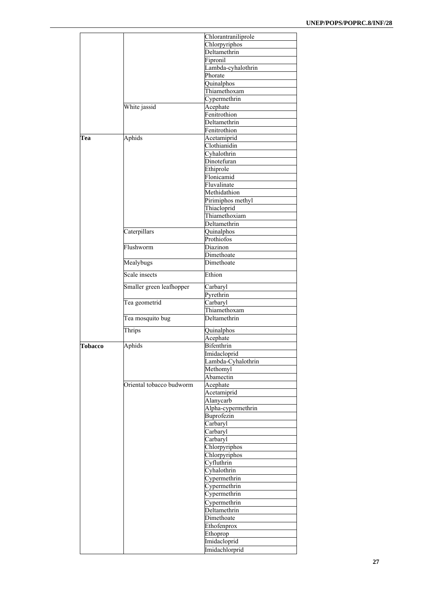|         |                          | Chlorantraniliprole |
|---------|--------------------------|---------------------|
|         |                          | Chlorpyriphos       |
|         |                          | Deltamethrin        |
|         |                          | Fipronil            |
|         |                          | Lambda-cyhalothrin  |
|         |                          | Phorate             |
|         |                          | Quinalphos          |
|         |                          | Thiamethoxam        |
|         |                          | Cypermethrin        |
|         | White jassid             | Acephate            |
|         |                          | Fenitrothion        |
|         |                          | Deltamethrin        |
|         |                          | Fenitrothion        |
| Tea     | Aphids                   | Acetamiprid         |
|         |                          | Clothianidin        |
|         |                          | Cyhalothrin         |
|         |                          |                     |
|         |                          | Dinotefuran         |
|         |                          | Ethiprole           |
|         |                          | Flonicamid          |
|         |                          | Fluvalinate         |
|         |                          | Methidathion        |
|         |                          | Pirimiphos methyl   |
|         |                          | Thiacloprid         |
|         |                          | Thiamethoxiam       |
|         |                          | Deltamethrin        |
|         | Caterpillars             | Quinalphos          |
|         |                          | Prothiofos          |
|         | Flushworm                | Diazinon            |
|         |                          | Dimethoate          |
|         | Mealybugs                | Dimethoate          |
|         |                          |                     |
|         | Scale insects            | Ethion              |
|         | Smaller green leafhopper | Carbaryl            |
|         |                          | Pyrethrin           |
|         | Tea geometrid            | Carbaryl            |
|         |                          | Thiamethoxam        |
|         | Tea mosquito bug         | Deltamethrin        |
|         | Thrips                   | Quinalphos          |
|         |                          | Acephate            |
| Tobacco | Aphids                   | Bifenthrin          |
|         |                          | Imidacloprid        |
|         |                          | Lambda-Cyhalothrin  |
|         |                          | Methomyl            |
|         |                          | Abamectin           |
|         | Oriental tobacco budworm | Acephate            |
|         |                          |                     |
|         |                          | Acetamiprid         |
|         |                          | Alanycarb           |
|         |                          | Alpha-cypermethrin  |
|         |                          | Buprofezin          |
|         |                          | Carbaryl            |
|         |                          | Carbaryl            |
|         |                          | Carbaryl            |
|         |                          | Chlorpyriphos       |
|         |                          | Chlorpyriphos       |
|         |                          | Cyfluthrin          |
|         |                          | Cyhalothrin         |
|         |                          | Cypermethrin        |
|         |                          | Cypermethrin        |
|         |                          |                     |
|         |                          | Cypermethrin        |
|         |                          | Cypermethrin        |
|         |                          | Deltamethrin        |
|         |                          | Dimethoate          |
|         |                          | Ethofenprox         |
|         |                          | Ethoprop            |
|         |                          |                     |
|         |                          | Imidacloprid        |
|         |                          | Imidachlorprid      |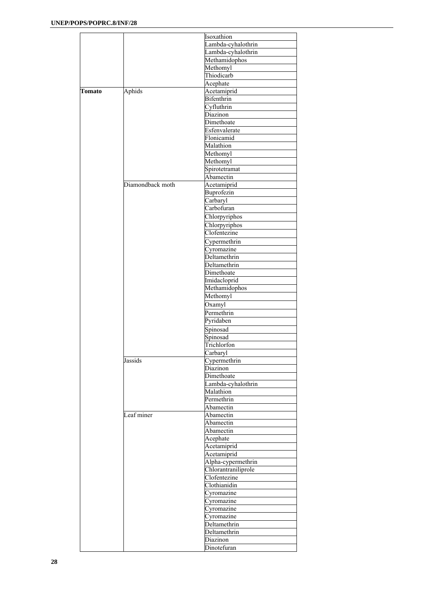|        |                  | Isoxathion          |
|--------|------------------|---------------------|
|        |                  | Lambda-cyhalothrin  |
|        |                  | Lambda-cyhalothrin  |
|        |                  | Methamidophos       |
|        |                  | Methomyl            |
|        |                  | Thiodicarb          |
|        |                  | Acephate            |
| Tomato | Aphids           | Acetamiprid         |
|        |                  | Bifenthrin          |
|        |                  |                     |
|        |                  | Cyfluthrin          |
|        |                  | Diazinon            |
|        |                  | Dimethoate          |
|        |                  | Esfenvalerate       |
|        |                  | Flonicamid          |
|        |                  | Malathion           |
|        |                  | Methomyl            |
|        |                  | Methomyl            |
|        |                  | Spirotetramat       |
|        |                  | Abamectin           |
|        | Diamondback moth | Acetamiprid         |
|        |                  | Buprofezin          |
|        |                  | Carbaryl            |
|        |                  |                     |
|        |                  | Carbofuran          |
|        |                  | Chlorpyriphos       |
|        |                  | Chlorpyriphos       |
|        |                  | Clofentezine        |
|        |                  | Cypermethrin        |
|        |                  | Cyromazine          |
|        |                  | Deltamethrin        |
|        |                  |                     |
|        |                  | Deltamethrin        |
|        |                  | Dimethoate          |
|        |                  | Imidacloprid        |
|        |                  | Methamidophos       |
|        |                  | Methomyl            |
|        |                  | Oxamyl              |
|        |                  | Permethrin          |
|        |                  | Pyridaben           |
|        |                  |                     |
|        |                  | Spinosad            |
|        |                  | Spinosad            |
|        |                  | Trichlorfon         |
|        |                  | Carbaryl            |
|        | Jassids          | Cypermethrin        |
|        |                  | Diazinon            |
|        |                  | Dimethoate          |
|        |                  | Lambda-cyhalothrin  |
|        |                  | Malathion           |
|        |                  | Permethrin          |
|        |                  | Abamectin           |
|        |                  |                     |
|        | Leaf miner       | Abamectin           |
|        |                  | Abamectin           |
|        |                  | Abamectin           |
|        |                  | Acephate            |
|        |                  | Acetamiprid         |
|        |                  | Acetamiprid         |
|        |                  | Alpha-cypermethrin  |
|        |                  | Chlorantraniliprole |
|        |                  | Clofentezine        |
|        |                  |                     |
|        |                  | Clothianidin        |
|        |                  | Cyromazine          |
|        |                  | Cyromazine          |
|        |                  | Cyromazine          |
|        |                  | Cyromazine          |
|        |                  | Deltamethrin        |
|        |                  | Deltamethrin        |
|        |                  | Diazinon            |
|        |                  | Dinotefuran         |
|        |                  |                     |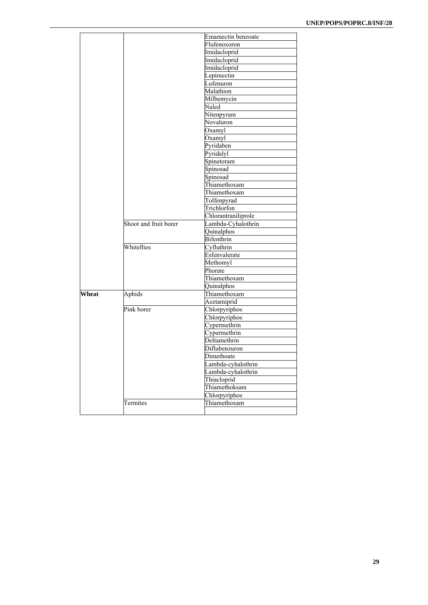|       |                       | Emamectin benzoate       |
|-------|-----------------------|--------------------------|
|       |                       | Flufenoxoron             |
|       |                       | Imidacloprid             |
|       |                       | Imidacloprid             |
|       |                       | Imidacloprid             |
|       |                       | Lepimectin               |
|       |                       | Lufenuron                |
|       |                       | Malathion                |
|       |                       | Milbemycin               |
|       |                       | Naled                    |
|       |                       | Nitenpyram               |
|       |                       | Novaluron                |
|       |                       | Oxamyl                   |
|       |                       | Oxamyl                   |
|       |                       | Pyridaben                |
|       |                       | Pyridalyl                |
|       |                       | Spinetoram               |
|       |                       | Spinosad                 |
|       |                       |                          |
|       |                       | Spinosad<br>Thiamethoxam |
|       |                       |                          |
|       |                       | Thiamethoxam             |
|       |                       | Tolfenpyrad              |
|       |                       | Trichlorfon              |
|       |                       | Chlorantraniliprole      |
|       | Shoot and fruit borer | Lambda-Cyhalothrin       |
|       |                       | Quinalphos               |
|       |                       | Bifenthrin               |
|       | Whiteflies            | Cyfluthrin               |
|       |                       | Esfenvalerate            |
|       |                       | Methomyl                 |
|       |                       | Phorate                  |
|       |                       | Thiamethoxam             |
|       |                       | Quinalphos               |
| Wheat | Aphids                | Thiamethoxam             |
|       |                       | Acetamiprid              |
|       | Pink borer            | Chlorpyriphos            |
|       |                       | Chlorpyriphos            |
|       |                       | Cypermethrin             |
|       |                       | Cypermethrin             |
|       |                       | Deltamethrin             |
|       |                       | Diflubenzuron            |
|       |                       | Dimethoate               |
|       |                       | Lambda-cyhalothrin       |
|       |                       | Lambda-cyhalothrin       |
|       |                       | Thiacloprid              |
|       |                       | Thiamethoksam            |
|       |                       | Chlorpyriphos            |
|       | Termites              | Thiamethoxam             |
|       |                       |                          |
|       |                       |                          |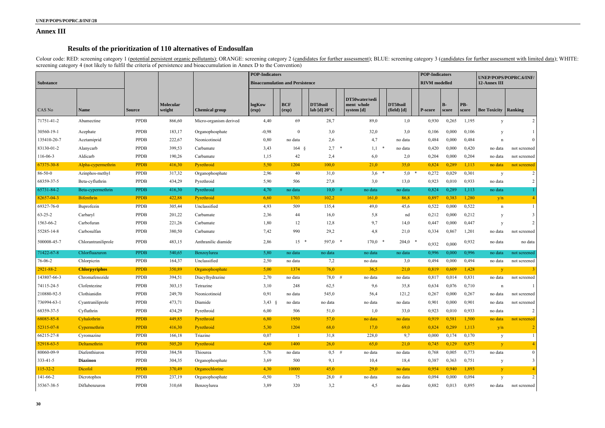### **Annex III**

# **Results of the prioritization of 110 alternatives of Endosulfan**

Colour code: RED: screening category 1 (potential persistent organic pollutants); ORANGE: screening category 2 (candidates for further assessment); BLUE: screening category 3 (candidates for further assessment with limited screening category 4 (not likely to fulfil the criteria of persistence and bioaccumulation in Annex D to the Convention)

|                  |                      | <b>POP-Indicators</b> |                            |                        |                    |                                        |                                    |                                            | <b>POP-Indicators</b>   |                      |               | UNEP/POPS/POPRC.6/INF/ |                     |                         |
|------------------|----------------------|-----------------------|----------------------------|------------------------|--------------------|----------------------------------------|------------------------------------|--------------------------------------------|-------------------------|----------------------|---------------|------------------------|---------------------|-------------------------|
| <b>Substance</b> |                      |                       |                            |                        |                    | <b>Bioaccumulation and Persistence</b> |                                    |                                            |                         | <b>RIVM</b> modelled |               |                        | 12-Annex III        |                         |
| CAS No           | <b>Name</b>          | <b>Source</b>         | <b>Molecular</b><br>weight | <b>Chemical group</b>  | logKow<br>$(\exp)$ | <b>BCF</b><br>(exp)                    | DT50soil<br>lab [d] $20^{\circ}$ C | DT50water/sedi<br>ment whole<br>system [d] | DT50soil<br>(field) [d] | P-score              | $B-$<br>score | PB-<br>score           | <b>Bee Toxicity</b> | Ranking                 |
| 71751-41-2       | Abamectine           | <b>PPDB</b>           | 866,60                     | Micro-organism derived | 4,40               | 69                                     | 28,7                               | 89,0                                       | 1,0                     | 0,930                | 0,265         | 1,195                  | y                   | $\overline{2}$          |
| 30560-19-1       | Acephate             | <b>PPDB</b>           | 183,17                     | Organophosphate        | $-0,98$            | $\mathbf{0}$                           | 3,0                                | 32,0                                       | 3,0                     | 0,106                | 0,000         | 0,106                  | y                   |                         |
| 135410-20-7      | Acetamiprid          | <b>PPDB</b>           | 222,67                     | Neonicotinoid          | 0,80               | no data                                | 2,6                                | 4,7                                        | no data                 | 0,484                | 0,000         | 0,484                  | $\mathbf n$         | $\theta$                |
| 83130-01-2       | Alanycarb            | <b>PPDB</b>           | 399,53                     | Carbamate              | 3,43               | $164 \&$                               | $2,7$ *                            | 1,1                                        | no data                 | 0,420                | 0,000         | 0,420                  | no data             | not screened            |
| 116-06-3         | Aldicarb             | PPDB                  | 190,26                     | Carbamate              | 1,15               | 42                                     | 2,4                                | 6,0                                        | 2,0                     | 0,204                | 0,000         | 0,204                  | no data             | not screened            |
| 67375-30-8       | Alpha-cypermethrin   | <b>PPDB</b>           | 416,30                     | Pyrethroid             | 5,50               | 1204                                   | 100,0                              | 21,0                                       | 35,0                    | 0,824                | 0,289         | 1,113                  | no data             | not screened            |
| 86-50-0          | Azinphos-methyl      | <b>PPDB</b>           | 317,32                     | Organophosphate        | 2,96               | 40                                     | 31,0                               | $3,6$ *                                    | 5,0                     | 0,272                | 0,029         | 0,301                  | y                   | $\overline{2}$          |
| 68359-37-5       | Beta-cyfluthrin      | <b>PPDB</b>           | 434,29                     | Pyrethroid             | 5,90               | 506                                    | 27,8                               | 3,0                                        | 13,0                    | 0,923                | 0,010         | 0,933                  | no data             | $\sqrt{2}$              |
| 65731-84-2       | Beta-cypermethrin    | <b>PPDB</b>           | 416,30                     | Pyrethroid             | 4,70               | no data                                | $10,0$ #                           | no data                                    | no data                 | 0,824                | 0,289         | 1,113                  | no data             |                         |
| 82657-04-3       | <b>Bifenthrin</b>    | <b>PPDB</b>           | 422,88                     | Pyrethroid             | 6,60               | 1703                                   | 102,2                              | 161,0                                      | 86,8                    | 0,897                | 0,383         | 1,280                  | y/n                 |                         |
| 69327-76-0       | Buprofezin           | <b>PPDB</b>           | 305,44                     | Unclassified           | 4,93               | 509                                    | 135,4                              | 49,0                                       | 45,6                    | 0,522                | 0,000         | 0,522                  | n                   |                         |
| $63 - 25 - 2$    | Carbaryl             | <b>PPDB</b>           | 201,22                     | Carbamate              | 2,36               | 44                                     | 16,0                               | 5,8                                        | nd                      | 0,212                | 0,000         | 0,212                  | y                   | $\overline{3}$          |
| 1563-66-2        | Carbofuran           | <b>PPDB</b>           | 221,26                     | Carbamate              | 1,80               | 12                                     | 12,8                               | 9,7                                        | 14,0                    | 0,447                | 0,000         | 0,447                  | y                   | 2                       |
| 55285-14-8       | Carbosulfan          | <b>PPDB</b>           | 380,50                     | Carbamate              | 7,42               | 990                                    | 29,2                               | 4,8                                        | 21,0                    | 0,334                | 0,867         | 1,201                  | no data             | not screened            |
| 500008-45-7      | Chlorantraniliprole  | <b>PPDB</b>           | 483,15                     | Anthranilic diamide    | 2,86               | $15 *$                                 | $597,0$ *                          | $170,0$ *                                  | $204,0$ *               | 0,932                | 0,000         | 0,932                  | no data             | no data                 |
| 71422-67-8       | Chlorfluazuron       | <b>PPDB</b>           | 540,65                     | Benzoylurea            | 5,80               | no data                                | no data                            | no data                                    | no data                 | 0,996                | 0,000         | 0,996                  | no data             | not screened            |
| 76-06-2          | Chlorpicrin          | <b>PPDB</b>           | 164,37                     | Unclassified           | 2,50               | no data                                | 7,2                                | no data                                    | 3,0                     | 0,494                | 0,000         | 0,494                  | no data             | not screened            |
| $2921 - 88 - 2$  | <b>Chlorpyriphos</b> | <b>PPDB</b>           | 350,89                     | Organophosphate        | 5,00               | 1374                                   | 76,0                               | 36,5                                       | 21,0                    | 0,819                | 0,609         | 1,428                  | <b>V</b>            |                         |
| 143807-66-3      | Chromafenozide       | <b>PPDB</b>           | 394,51                     | Diacylhydrazine        | 2,70               | no data                                | $78,0$ #                           | no data                                    | no data                 | 0,817                | 0,014         | 0,831                  | no data             | not screened            |
| 74115-24-5       | Clofentezine         | <b>PPDB</b>           | 303,15                     | Tetrazine              | 3,10               | 248                                    | 62,5                               | 9,6                                        | 35,8                    | 0,634                | 0,076         | 0,710                  | n                   |                         |
| 210880-92-5      | Clothianidin         | <b>PPDB</b>           | 249,70                     | Neonicotinoid          | 0,91               | no data                                | 545,0                              | 56,4                                       | 121,2                   | 0,267                | 0,000         | 0,267                  | no data             | not screened            |
| 736994-63-1      | Cyantraniliprole     | <b>PPDB</b>           | 473,71                     | Diamide                | $3,43$ §           | no data                                | no data                            | no data                                    | no data                 | 0,901                | 0,000         | 0,901                  | no data             | not screened            |
| 68359-37-5       | Cyfluthrin           | PPDB                  | 434,29                     | Pyrethroid             | 6,00               | 506                                    | 51,0                               | 1,0                                        | 33,0                    | 0,923                | 0,010         | 0,933                  | no data             | $\overline{c}$          |
| 68085-85-8       | Cyhalothrin          | <b>PPDB</b>           | 449,85                     | Pyrethroid             | 6,80               | 1950                                   | 57,0                               | no data                                    | no data                 | 0,919                | 0,581         | 1,500                  | no data             | not screened            |
| 52315-07-8       | Cypermethrin         | <b>PPDB</b>           | 416,30                     | Pyrethroid             | 5,30               | 1204                                   | 68,0                               | 17,0                                       | 69,0                    | 0,824                | 0,289         | 1,113                  | y/n                 | $\overline{2}$          |
| 66215-27-8       | Cyromazine           | PPDB                  | 166,18                     | Triazine               | 0,07               | -1                                     | 31,8                               | 228,0                                      | 9,7                     | 0,000                | 0,174         | 0,170                  | y                   |                         |
| 52918-63-5       | Deltamethrin         | <b>PPDB</b>           | 505,20                     | Pyrethroid             | 4,60               | 1400                                   | 26,0                               | 65,0                                       | 21,0                    | 0,745                | 0,129         | 0,875                  | y                   | $\overline{4}$          |
| 80060-09-9       | Diafenthiuron        | <b>PPDB</b>           | 384,58                     | Thiourea               | 5,76               | no data                                | $0,5$ #                            | no data                                    | no data                 | 0,768                | 0,005         | 0,773                  | no data             | $\boldsymbol{0}$        |
| 333-41-5         | <b>Diazinon</b>      | <b>PPDB</b>           | 304,35                     | Organophosphate        | 3,69               | 500                                    | 9,1                                | 10,4                                       | 18,4                    | 0,387                | 0,363         | 0,751                  | y                   | $\overline{\mathbf{3}}$ |
| $115 - 32 - 2$   | Dicofol              | <b>PPDB</b>           | 370,49                     | Organochlorine         | 4,30               | 10000                                  | 45,0                               | 29,0                                       | no data                 | 0,954                | 0,940         | 1,893                  | $\mathbf{y}$        |                         |
| $141 - 66 - 2$   | Dicrotophos          | PPDB                  | 237,19                     | Organophosphate        | $-0,50$            | 75                                     | $28,0$ #                           | no data                                    | no data                 | 0,094                | 0,000         | 0,094                  | y                   | $\overline{2}$          |
| 35367-38-5       | Diflubenzuron        | PPDB                  | 310,68                     | Benzoylurea            | 3,89               | 320                                    | 3,2                                | 4,5                                        | no data                 | 0,882                | 0,013         | 0,895                  | no data             | not screened            |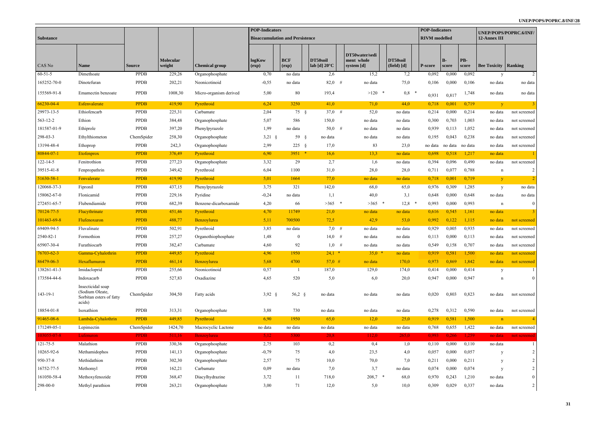#### **UNEP/POPS/POPRC.8/INF/28**

|                  |                                                                            | <b>POP-Indicators</b> |                     |                        |                 |                                        |                                    |                                            |                         | <b>POP-Indicators</b> |                |              |                               | UNEP/POPS/POPRC.6/INF/ |
|------------------|----------------------------------------------------------------------------|-----------------------|---------------------|------------------------|-----------------|----------------------------------------|------------------------------------|--------------------------------------------|-------------------------|-----------------------|----------------|--------------|-------------------------------|------------------------|
| <b>Substance</b> |                                                                            |                       |                     |                        |                 | <b>Bioaccumulation and Persistence</b> |                                    |                                            |                         | <b>RIVM</b> modelled  |                |              | 12-Annex III                  |                        |
| CAS No           | <b>Name</b>                                                                | <b>Source</b>         | Molecular<br>weight | <b>Chemical group</b>  | logKow<br>(exp) | <b>BCF</b><br>(exp)                    | DT50soil<br>lab [d] $20^{\circ}$ C | DT50water/sedi<br>ment whole<br>system [d] | DT50soil<br>(field) [d] | P-score               | $B -$<br>score | PB-<br>score | <b>Bee Toxicity   Ranking</b> |                        |
| $60 - 51 - 5$    | Dimethoate                                                                 | <b>PPDB</b>           | 229,26              | Organophosphate        | 0,70            | no data                                | 2,6                                | 15,2                                       | 7,2                     | 0,092                 | 0,000          | 0,092        | y                             | 2                      |
| 165252-70-0      | Dinotefuran                                                                | <b>PPDB</b>           | 202,21              | Neonicotinoid          | $-0,55$         | no data                                | $82,0$ #                           | no data                                    | 75,0                    | 0,106                 | 0,000          | 0,106        | no data                       | no data                |
| 155569-91-8      | Emamectin benzoate                                                         | <b>PPDB</b>           | 1008,30             | Micro-organism derived | 5,00            | 80                                     | 193,4                              | $>120$ *                                   | 0,8                     | 0,931                 | 0,817          | 1,748        | no data                       | no data                |
| 66230-04-4       | Esfenvalerate                                                              | <b>PPDB</b>           | 419,90              | Pyrethroid             | 6,24            | 3250                                   | 41,0                               | 71,0                                       | 44.0                    | 0.718                 | 0,001          | 0,719        | $\mathbf{V}$                  | 3                      |
| 29973-13-5       | Ethiofencarb                                                               | <b>PPDB</b>           | 225,31              | Carbamate              | 2,04            | $75 \quad \S$                          | $37,0$ #                           | 52,0                                       | no data                 | 0,214                 | 0,000          | 0,214        | no data                       | not screened           |
| 563-12-2         | Ethion                                                                     | <b>PPDB</b>           | 384,48              | Organophosphate        | 5,07            | 586                                    | 150,0                              | no data                                    | no data                 | 0,300                 | 0,703          | 1,003        | no data                       | not screened           |
| 181587-01-9      | Ethiprole                                                                  | <b>PPDB</b>           | 397,20              | Phenylpyrazole         | 1,99            | no data                                | $50,0$ #                           | no data                                    | no data                 | 0,939                 | 0,113          | 1,052        | no data                       | not screened           |
| 298-03-3         | Ethylthiometon                                                             | ChemSpider            | 258,30              | Organophosphate        | $3,21$ §        | $59 \quad$                             | no data                            | no data                                    | no data                 | 0,195                 | 0,043          | 0,238        | no data                       | not screened           |
| 13194-48-4       | Ethoprop                                                                   | <b>PPDB</b>           | 242,3               | Organophosphate        | 2,99            | $225 \frac{1}{2}$                      | 17,0                               | 83                                         | 23,0                    | no data               | no data        | no data      | no data                       | not screened           |
| 80844-07-1       | Etofenprox                                                                 | <b>PPDB</b>           | 376,49              | Pyrethroid             | 6,90            | $3951$ *                               | 16,6                               | 13,3                                       | no data                 | 0.698                 | 0.518          | 1,217        | no data                       |                        |
| 122-14-5         | Fenitrothion                                                               | <b>PPDB</b>           | 277,23              | Organophosphate        | 3,32            | 29                                     | 2,7                                | 1,6                                        | no data                 | 0,394                 | 0,096          | 0,490        | no data                       | not screened           |
| 39515-41-8       | Fenpropathrin                                                              | <b>PPDB</b>           | 349,42              | Pyrethroid             | 6,04            | 1100                                   | 31,0                               | 28,0                                       | 28,0                    | 0,711                 | 0,077          | 0,788        | n                             | $\overline{2}$         |
| 51630-58-1       | Fenvalerate                                                                | <b>PPDB</b>           | 419,90              | Pyrethroid             | 5,01            | 1664                                   | 77,0                               | no data                                    | no data                 | 0,718                 | 0,001          | 0,719        | $\mathbf{V}$                  | $\overline{2}$         |
| 120068-37-3      | Fipronil                                                                   | <b>PPDB</b>           | 437,15              | Phenylpyrazole         | 3,75            | 321                                    | 142,0                              | 68,0                                       | 65,0                    | 0,976                 | 0,309          | 1,285        | y                             | no data                |
| 158062-67-0      | Flonicamid                                                                 | <b>PPDB</b>           | 229,16              | Pyridine               | $-0,24$         | no data                                | 1,1                                | 40,0                                       | 3,1                     | 0,648                 | 0,000          | 0,648        | no data                       | no data                |
| 272451-65-7      | Flubendiamide                                                              | <b>PPDB</b>           | 682,39              | Benzene-dicarboxamide  | 4,20            | 66                                     | $>365$ *                           | $>365$ *                                   | 12,8                    | 0,993                 | 0,000          | 0,993        | n                             | $\overline{0}$         |
| 70124-77-5       | Flucythrinate                                                              | <b>PPDB</b>           | 451,46              | Pyrethroid             | 4,70            | 11749                                  | 21,0                               | no data                                    | no data                 | 0,616                 | 0,545          | 1,161        | no data                       | $\overline{3}$         |
| 101463-69-8      | Flufenoxuron                                                               | <b>PPDB</b>           | 488,77              | Benzoylurea            | 5,11            | 700500                                 | 72,5                               | 42,9                                       | 53,0                    | 0,992                 | 0,122          | 1,115        | no data                       | not screened           |
| 69409-94-5       | Fluvalinate                                                                | <b>PPDB</b>           | 502,91              | Pyrethroid             | 3,85            | no data                                | $7,0$ #                            | no data                                    | no data                 | 0,929                 | 0,005          | 0,935        | no data                       | not screened           |
| 2540-82-1        | Formothion                                                                 | <b>PPDB</b>           | 257,27              | Organothiophosphate    | 1,48            | $\bf{0}$                               | $14,0$ #                           | no data                                    | no data                 | 0,113                 | 0,000          | 0,113        | no data                       | not screened           |
| 65907-30-4       | Furathiocarb                                                               | <b>PPDB</b>           | 382,47              | Carbamate              | 4,60            | 92                                     | $1,0$ #                            | no data                                    | no data                 | 0,549                 | 0,158          | 0,707        | no data                       | not screened           |
| $76703 - 62 - 3$ | Gamma-Cyhalothrin                                                          | <b>PPDB</b>           | 449,85              | Pyrethroid             | 4,96            | 1950                                   | $24,1$ *                           | $35,0$ *                                   | no data                 | 0,919                 | 0,581          | 1,500        | no data                       | not screened           |
| 86479-06-3       | Hexaflumuron                                                               | <b>PPDB</b>           | 461,14              | Benzoylurea            | 5,68            | 4700                                   | $57,0$ #                           | no data                                    | 170,0                   | 0,973                 | 0,869          | 1,842        | no data                       | not screened           |
| 138261-41-3      | Imidacloprid                                                               | <b>PPDB</b>           | 255,66              | Neonicotinoid          | 0,57            | -1                                     | 187,0                              | 129,0                                      | 174,0                   | 0,414                 | 0,000          | 0,414        | y                             | 1                      |
| 173584-44-6      | Indoxacarb                                                                 | PPDB                  | 527,83              | Oxadiazine             | 4,65            | 520                                    | 5,0                                | 6,0                                        | 20,0                    | 0,947                 | 0,000          | 0,947        | n                             | $\overline{0}$         |
| 143-19-1         | Insecticidal soap<br>(Sodium Oleate,<br>Sorbitan esters of fatty<br>acids) | ChemSpider            | 304,50              | Fatty acids            | $3,92$ §        | 56,2 $\S$                              | no data                            | no data                                    | no data                 | 0,020                 | 0,803          | 0,823        | no data                       | not screened           |
| 18854-01-8       | Isoxathion                                                                 | <b>PPDB</b>           | 313,31              | Organophosphate        | 3,88            | 730                                    | no data                            | no data                                    | no data                 | 0,278                 | 0,312          | 0,590        | no data                       | not screened           |
| 91465-08-6       | Lambda-Cyhalothrin                                                         | <b>PPDB</b>           | 449,85              | Pyrethroid             | 6,90            | 1950                                   | 65,0                               | 12,0                                       | 25,0                    | 0,919                 | 0,581          | 1,500        | n                             |                        |
| 171249-05-1      | Lepimectin                                                                 | ChemSpider            | 1424,70             | Macrocyclic Lactone    | no data         | no data                                | no data                            | no data                                    | no data                 | 0,768                 | 0,655          | 1,422        | no data                       | not screened           |
| 103055-07-8      | Lufenuron                                                                  | <b>PPDB</b>           | 511,16              | <b>Benzoylurea</b>     | 5,12            | 5300                                   | 20,8                               | 112,0                                      | 265,0                   | 0,993                 | 0,266          | 1,259        | no data                       | not screened           |
| $121 - 75 - 5$   | Malathion                                                                  | <b>PPDB</b>           | 330,36              | Organophosphate        | 2,75            | 103                                    | 0,2                                | 0,4                                        | 1,0                     | 0,110                 | 0,000          | 0,110        | no data                       |                        |
| 10265-92-6       | Methamidophos                                                              | <b>PPDB</b>           | 141,13              | Organophosphate        | $-0,79$         | 75                                     | 4,0                                | 23,5                                       | 4,0                     | 0,057                 | 0,000          | 0,057        | y                             | 2                      |
| 950-37-8         | Methidathion                                                               | <b>PPDB</b>           | 302,30              | Organophosphate        | 2,57            | 75                                     | 10,0                               | 70,0                                       | 7,0                     | 0,211                 | 0,000          | 0,211        | y                             | 2                      |
| 16752-77-5       | Methomyl                                                                   | <b>PPDB</b>           | 162,21              | Carbamate              | 0,09            | no data                                | 7,0                                | 3,7                                        | no data                 | 0,074                 | 0,000          | 0,074        | y                             | $\overline{c}$         |
| 161050-58-4      | Methoxyfenozide                                                            | PPDB                  | 368,47              | Diacylhydrazine        | 3,72            | 11                                     | 718,0                              | $208,7$ *                                  | 68,0                    | 0,970                 | 0,243          | 1,210        | no data                       | $\overline{0}$         |
| 298-00-0         | Methyl parathion                                                           | <b>PPDB</b>           | 263,21              | Organophosphate        | 3,00            | 71                                     | 12,0                               | 5,0                                        | 10,0                    | 0,309                 | 0,029          | 0,337        | no data                       | $\overline{2}$         |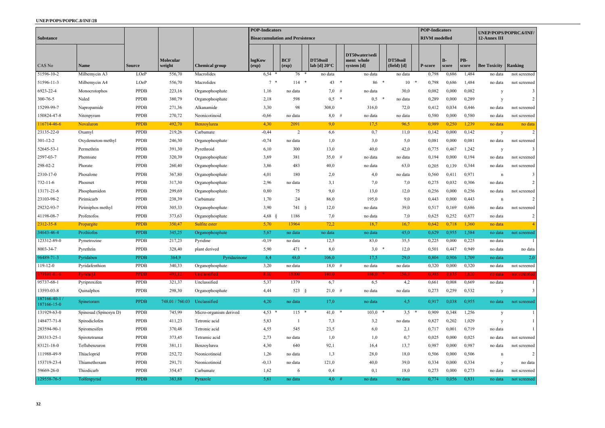|                              |                            |               | <b>POP-Indicators</b>        |                        |                 |                                        |                                    | <b>POP-Indicators</b> |                                            |                         | UNEP/POPS/POPRC.6/INF/ |               |              |                     |                |
|------------------------------|----------------------------|---------------|------------------------------|------------------------|-----------------|----------------------------------------|------------------------------------|-----------------------|--------------------------------------------|-------------------------|------------------------|---------------|--------------|---------------------|----------------|
| <b>Substance</b>             |                            |               |                              |                        |                 | <b>Bioaccumulation and Persistence</b> |                                    |                       |                                            |                         | <b>RIVM</b> modelled   |               |              | 12-Annex III        |                |
| CAS No                       | <b>Name</b>                | <b>Source</b> | <b>Molecular</b><br>weight   | <b>Chemical group</b>  | logKow<br>(exp) | <b>BCF</b><br>$(\exp)$                 | DT50soil<br>lab [d] $20^{\circ}$ C |                       | DT50water/sedi<br>ment whole<br>system [d] | DT50soil<br>(field) [d] | P-score                | $B-$<br>score | PB-<br>score | <b>Bee Toxicity</b> | Ranking        |
| 51596-10-2                   | Milbemycin $\overline{A3}$ | LOeP          | 556,70                       | Macrolides             | 6,54            | 76                                     | $\ast$<br>no data                  |                       | no data                                    | no data                 | 0,798                  | 0,686         | 1,484        | no data             | not screened   |
| 51596-11-3                   | Milbemycin A4              | LOeP          | 556,70                       | Macrolides             | $7 *$           | 114                                    | 43                                 | $\ast$                | 86 *                                       | 10<br>- 4               | 0,798                  | 0,686         | 1,484        | no data             | not screened   |
| 6923-22-4                    | Monocrotophos              | <b>PPDB</b>   | 223,16                       | Organophosphate        | 1,16            | no data                                | 7,0                                | #                     | no data                                    | 30,0                    | 0,082                  | 0,000         | 0,082        | y                   | 3              |
| 300-76-5                     | Naled                      | <b>PPDB</b>   | 380,79                       | Organophosphate        | 2,18            | 598                                    | $0,5$ *                            |                       | 0,5                                        | $\ast$<br>no data       | 0,289                  | 0,000         | 0,289        | y                   | $\overline{2}$ |
| 15299-99-7                   | Napropamide                | PPDB          | 271,36                       | Alkanamide             | 3,30            | 98                                     | 308,0                              |                       | 316,0                                      | 72,0                    | 0,412                  | 0,034         | 0,446        | no data             | not screened   |
| 150824-47-8                  | Nitenpyram                 | <b>PPDB</b>   | 270,72                       | Neonicotinoid          | $-0,66$         | no data                                | $8,0$ #                            |                       | no data                                    | no data                 | 0,580                  | 0,000         | 0,580        | no data             | not screened   |
| 116714-46-6                  | Novaluron                  | <b>PPDB</b>   | 492,70                       | Benzoylurea            | 4,30            | 2091                                   | 9,0                                |                       | 17,5                                       | 96,5                    | 0,989                  | 0,250         | 1,239        | no data             | no data        |
| 23135-22-0                   | Oxamyl                     | <b>PPDB</b>   | 219,26                       | Carbamate              | $-0,44$         | 2                                      | 6,6                                |                       | 0,7                                        | 11,0                    | 0,142                  | 0,000         | 0,142        | y                   |                |
| $301 - 12 - 2$               | Oxydemeton-methyl          | PPDB          | 246,30                       | Organophosphate        | $-0,74$         | no data                                | 1,0                                |                       | 3,0                                        | 5,0                     | 0,081                  | 0,000         | 0,081        | no data             | not screened   |
| 52645-53-1                   | Permethrin                 | PPDB          | 391,30                       | Pyrethroid             | 6,10            | 300                                    | 13,0                               |                       | 40,0                                       | 42,0                    | 0,775                  | 0,467         | 1,242        | y                   | $\overline{3}$ |
| 2597-03-7                    | Phentoate                  | <b>PPDB</b>   | 320,39                       | Organophosphate        | 3,69            | 381                                    | $35,0$ #                           |                       | no data                                    | no data                 | 0,194                  | 0,000         | 0,194        | no data             | not screened   |
| 298-02-2                     | Phorate                    | PPDB          | 260,40                       | Organophosphate        | 3,86            | 483                                    | 40,0                               |                       | no data                                    | 63,0                    | 0,205                  | 0,139         | 0,344        | no data             | not screened   |
| 2310-17-0                    | Phosalone                  | <b>PPDB</b>   | 367,80                       | Organophosphate        | 4,01            | 180                                    | 2,0                                |                       | 4,0                                        | no data                 | 0,560                  | 0,411         | 0,971        | n                   | 3              |
| $732 - 11 - 6$               | Phosmet                    | PPDB          | 317,30                       | Organophosphate        | 2,96            | no data                                | 3,1                                |                       | 7,0                                        | 7,0                     | 0,275                  | 0,032         | 0,306        | no data             | $\overline{2}$ |
| 13171-21-6                   | Phosphamidon               | PPDB          | 299,69                       | Organophosphate        | 0,80            | 75                                     | 9,0                                |                       | 13,0                                       | 12,0                    | 0,256                  | 0,000         | 0,256        | no data             | not screened   |
| 23103-98-2                   | Pirimicarb                 | <b>PPDB</b>   | 238,39                       | Carbamate              | 1,70            | 24                                     | 86,0                               |                       | 195,0                                      | 9,0                     | 0,443                  | 0,000         | 0,443        | n                   |                |
| 29232-93-7                   | Pirimiphos methyl          | PPDB          | 305,33                       | Organophosphate        | 3,90            | 741 §                                  | 12,0                               |                       | no data                                    | 39,0                    | 0,517                  | 0,169         | 0,686        | no data             | not screened   |
| 41198-08-7                   | Profenofos                 | <b>PPDB</b>   | 373,63                       | Organophosphate        | $4,68$ §        | 1186                                   | 7,0                                |                       | no data                                    | 7,0                     | 0,625                  | 0,252         | 0,877        | no data             | $\overline{2}$ |
| 2312-35-8                    | Propargite                 | <b>PPDB</b>   | 350,47                       | Sulfite ester          | 5,70            | 13964                                  | 72,2                               |                       | 18,7                                       | 16,7                    | 0,642                  | 0.718         | 1,360        | no data             |                |
| 34643-46-4                   | Prothiofos                 | <b>PPDB</b>   | 345,25                       | Organophosphate        | 5,67            | no data                                | no data                            |                       | no data                                    | 45,0                    | 0,629                  | 0,955         | 1,584        | no data             | not screened   |
| 123312-89-0                  | Pymetrozine                | PPDB          | 217,23                       | Pyridine               | $-0,19$         | no data                                | 12,5                               |                       | 83,0                                       | 35,5                    | 0,225                  | 0,000         | 0,225        | no data             |                |
| 8003-34-7                    | Pyrethrin                  | <b>PPDB</b>   | 328,40                       | plant derived          | 5,90            | $471 *$                                | 8,0                                |                       | $3,0$ *                                    | 12,0                    | 0,501                  | 0,447         | 0,949        | no data             | no data        |
| 96489-71-3                   | Pyridaben                  | <b>PPDB</b>   | 364,9                        | Pyridazinone           | 6,4             | 48,0                                   | 106,0                              |                       | 17,5                                       | 29,0                    | 0,804                  | 0,906         | 1,709        | no data             | 2,0            |
| $119 - 12 - 0$               | Pyridafenthion             | <b>PPDB</b>   | 340,33                       | Organophosphate        | 3,20            | no data                                | $18,0$ #                           |                       | no data                                    | no data                 | 0,320                  | 0,000         | 0,320        | no data             | not screened   |
| 179101-81-6                  | Pyridalyl                  | <b>PPDB</b>   | 491,12                       | Unclassified           | 8,10            | 16000                                  | 140,0                              |                       | $186,0$ *                                  | 156,3                   | 0,985                  | 0,835         | 1,820        | no data             | not screened   |
| 95737-68-1                   | Pyriproxifen               | <b>PPDB</b>   | 321,37                       | Unclassified           | 5,37            | 1379                                   | 6,7                                |                       | 6,5                                        | 4,2                     | 0,661                  | 0,008         | 0,669        | no data             |                |
| 13593-03-8                   | Quinalphos                 | PPDB          | 298,30                       | Organophosphate        | 4,44            | 523 $§$                                | $21,0$ #                           |                       | no data                                    | no data                 | 0,273                  | 0,259         | 0,532        | y                   | 3              |
| 187166-40-1 /<br>187166-15-0 | Spinetoram                 | <b>PPDB</b>   | 748.01 / 760.03 Unclassified |                        | 4,20            | no data                                | 17,0                               |                       | no data                                    | 4,5                     | 0,917                  | 0,038         | 0,955        | no data             | not screened   |
| 131929-63-0                  | Spinosad (Spinosyn D)      | PPDB          | 745,99                       | Micro-organism derived | $4,53$ *        | $115$ *                                | $41,0$ *                           |                       | $103,0$ *                                  | $3,5$ *                 | 0,909                  | 0,348         | 1,256        | y                   |                |
| 148477-71-8                  | Spirodiclofen              | PPDB          | 411,23                       | Tetronic acid          | 5,83            |                                        | 7,3                                |                       | 3,2                                        | no data                 | 0,827                  | 0,202         | 1,029        | y                   |                |
| 283594-90-1                  | Spiromesifen               | PPDB          | 370,48                       | Tetronic acid          | 4,55            | 545                                    | 23,5                               |                       | 6,0                                        | 2,1                     | 0,717                  | 0,001         | 0,719        | no data             |                |
| 203313-25-1                  | Spirotetramat              | <b>PPDB</b>   | 373,45                       | Tetramic acid          | 2,73            | no data                                | 1,0                                |                       | 1,0                                        | 0,7                     | 0,025                  | 0,000         | 0,025        | no data             | not screened   |
| 83121-18-0                   | Teflubenzuron              | <b>PPDB</b>   | 381,11                       | Benzoylurea            | 4,30            | 640                                    | 92,1                               |                       | 16,4                                       | 13,7                    | 0,987                  | 0,000         | 0,987        | no data             | not screened   |
| 111988-49-9                  | Thiacloprid                | <b>PPDB</b>   | 252,72                       | Neonicotinoid          | 1,26            | no data                                | 1,3                                |                       | 28,0                                       | 18,0                    | 0,506                  | 0,000         | 0,506        | n                   | $\mathcal{D}$  |
| 153719-23-4                  | Thiamethoxam               | <b>PPDB</b>   | 291,71                       | Neonicotinoid          | $-0,13$         | no data                                | 121,0                              |                       | 40,0                                       | 39,0                    | 0,334                  | 0,000         | 0,334        | y                   | no data        |
| 59669-26-0                   | Thiodicarb                 | PPDB          | 354,47                       | Carbamate              | 1,62            | 6                                      | 0,4                                |                       | 0,1                                        | 18,0                    | 0,273                  | 0,000         | 0,273        | no data             | not screened   |
| 129558-76-5                  | Tolfenpyrad                | <b>PPDB</b>   | 383,88                       | Pyrazole               | 5,61            | no data                                | $4,0$ #                            |                       | no data                                    | no data                 | 0,774                  | 0,056         | 0,831        | no data             | not screened   |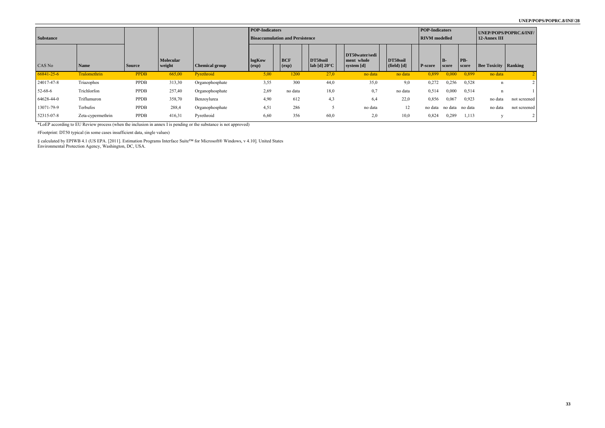| <b>Substance</b> |                   |             |                            |                       | <b>POP-Indicators</b><br><b>Bioaccumulation and Persistence</b> |                     |                                      |                                            |                                           | <b>POP-Indicators</b><br>RIVM modelled |             |              | UNEP/POPS/POPRC.6/INF/<br>12-Annex III |              |  |
|------------------|-------------------|-------------|----------------------------|-----------------------|-----------------------------------------------------------------|---------------------|--------------------------------------|--------------------------------------------|-------------------------------------------|----------------------------------------|-------------|--------------|----------------------------------------|--------------|--|
| CAS No           | <b>Name</b>       | Source      | <b>Molecular</b><br>weight | <b>Chemical group</b> | logKow<br>$\left( exp\right)$                                   | <b>BCF</b><br>(exp) | DT50soil<br>  lab [d] $20^{\circ}$ C | DT50water/sedi<br>ment whole<br>system [d] | DT50soil<br>$(\text{field}) [\textbf{d}]$ | <b>P-score</b>                         | B-<br>score | PB-<br>score | <b>Bee Toxicity   Ranking</b>          |              |  |
| $66841 - 25 - 6$ | Tralomethrin      | <b>PPDB</b> | 665,00                     | Pyrethroid            | 5,00                                                            | 1200                | 27,0                                 | no data                                    | no data                                   | 0,899                                  | 0,000       | 0,899        | no data                                |              |  |
| 24017-47-8       | Triazophos        | PPDB        | 313,30                     | Organophosphate       | 3,55                                                            | 300                 | 44,0                                 | 35,0                                       | 9,0                                       | 0,272                                  | 0,256       | 0,528        | $\mathbf n$                            |              |  |
| 52-68-6          | Trichlorfon       | PPDB        | 257,40                     | Organophosphate       | 2,69                                                            | no data             | 18,0                                 | 0,7                                        | no data                                   | 0,514                                  | 0,000       | 0,514        | n                                      |              |  |
| 64628-44-0       | Triflumuron       | PPDB        | 358,70                     | Benzoylurea           | 4,90                                                            | 612                 | 4,3                                  | 6,4                                        | 22,0                                      | 0,856                                  | 0,067       | 0,923        | no data                                | not screened |  |
| 13071-79-9       | Terbufos          | PPDB        | 288,4                      | Organophosphate       | 4,51                                                            | 286                 |                                      | no data                                    | 12                                        | no data                                | no data     | no data      | no data                                | not screened |  |
| 52315-07-8       | Zeta-cypermethrin | PPDB        | 416,31                     | Pyrethroid            | 6,60                                                            | 356                 | 60,0                                 | 2,0                                        | 10,0                                      | 0,824                                  | 0,289       | 1,113        |                                        |              |  |

\*LoEP according to EU Review process (when the inclusion in annex I is pending or the substance is not approved)

#Footprint: DT50 typical (in some cases insufficient data, single values)

§ calculated by EPIWB 4.1 (US EPA. [2011]. Estimation Programs Interface Suite™ for Microsoft® Windows, v 4.10]. United States Environmental Protection Agency, Washington, DC, USA.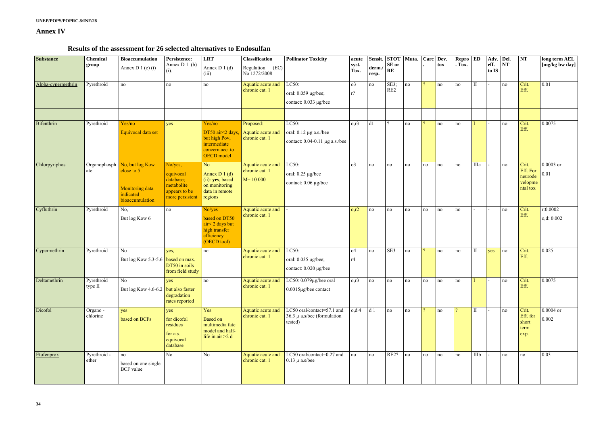### **Annex IV**

### **Results of the assessment for 26 selected alternatives to Endosulfan**

| <b>Substance</b>   | Chemical<br>group     | <b>Bioaccumulation</b><br>Annex D 1 (c) $(i)$                                           | Persistence:<br>Annex $D_1$ . (b)<br>(i).                                           | <b>LRT</b><br>Annex $D_1(d)$<br>(iii)                                                        | <b>Classification</b><br>Regulation (EC)<br>No 1272/2008 | <b>Pollinator Toxicity</b>                                               | acute<br>syst.<br>Tox.  | derm.<br>resp.  | Sensit. STOT Muta.<br>${\bf SE}$ or<br>RE |    |                | Carc Dev.<br>tox | $\bf Repro \vert \bf ED$<br>. Tox. |              | Adv. Del.<br>eff.<br>to IS | NT | <b>NT</b>                                           | long term AEL<br>[mg/kg bw day] |
|--------------------|-----------------------|-----------------------------------------------------------------------------------------|-------------------------------------------------------------------------------------|----------------------------------------------------------------------------------------------|----------------------------------------------------------|--------------------------------------------------------------------------|-------------------------|-----------------|-------------------------------------------|----|----------------|------------------|------------------------------------|--------------|----------------------------|----|-----------------------------------------------------|---------------------------------|
| Alpha-cypermethrin | Pyrethroid            | no                                                                                      | no                                                                                  | no                                                                                           | Aquatic acute and<br>chronic cat. 1                      | LC50:<br>oral: 0.059 µg/bee;<br>contact: 0.033 µg/bee                    | o <sub>3</sub><br>$r$ ? | no              | SE3;<br>RE <sub>2</sub>                   | no | $\overline{2}$ | no               | no                                 | $\mathbf{I}$ |                            | no | Crit.<br>Eff.                                       | 0.01                            |
| Bifenthrin         | Pyrethroid            | Yes/no<br>Equivocal data set                                                            | yes                                                                                 | Yes/no<br>DT50 air<2 days,<br>but high Pov,<br>intermediate<br>concern acc. to<br>OECD model | Proposed:<br>Aquatic acute and<br>chronic cat. 1         | LC50:<br>oral: $0.12 \mu g$ a.s./bee<br>contact: $0.04-0.11$ µg a.s./bee | $0,\dot{1}3$            | d1              | $\gamma$                                  | no | $\eta$         | no               | no                                 |              |                            | no | Crit.<br>Eff.                                       | 0.0075                          |
| Chlorpyriphos      | Organophosph<br>ate   | No, but log Kow<br>close to 5<br><b>Monitoring data</b><br>indicated<br>bioaccumulation | No/yes,<br>equivocal<br>database;<br>metabolite<br>appears to be<br>more persistent | No<br>Annex D $1(d)$<br>(ii): yes, based<br>on monitoring<br>data in remote<br>regions       | Aquatic acute and<br>chronic cat. 1<br>$M = 10000$       | LC50:<br>oral: $0.25 \mu g/bee$<br>contact: 0.06 µg/bee                  | $\sigma$ 3              | no              | no                                        | no | no             | no               | no                                 | IIIa         |                            | no | Crit.<br>Eff. For<br>neurode<br>velopme<br>ntal tox | $0.0003$ or<br>0.01             |
| Cyfluthrin         | Pyrethroid            | No,<br>But log Kow 6                                                                    | no                                                                                  | No/yes<br>based on DT50<br>$air < 2$ days but<br>high transfer<br>efficiency<br>(OECD tool)  | Aquatic acute and<br>chronic cat. 1                      |                                                                          | o, r2                   | no              | no                                        | no | no             | no               | no                                 |              |                            | no | Crit.<br>Eff.                                       | r:0.0002<br>o,d: 0.002          |
| Cypermethrin       | Pyrethroid            | No<br>But $\log$ Kow 5.3-5.6 based on max.                                              | yes,<br>DT50 in soils<br>from field study                                           | no                                                                                           | Aquatic acute and<br>chronic cat. 1                      | LC50:<br>oral: $0.035 \mu g/$ bee;<br>contact: 0.020 µg/bee              | O <sub>4</sub><br>r4    | no              | SE3                                       | no | $\overline{2}$ | no               | no                                 | $\mathbf{I}$ | yes                        | no | Crit.<br>Eff.                                       | 0.025                           |
| Deltamethrin       | Pyrethroid<br>type II | No<br>But $\log$ Kow 4.6-6.2 but also faster                                            | yes<br>degradation<br>rates reported                                                | no                                                                                           | Aquatic acute and<br>chronic cat. 1                      | LC50: $0.079\mu$ g/bee oral<br>$0.0015$ µg/bee contact                   | $0,\dot{1}3$            | no              | no                                        | no | no             | no               | no                                 |              |                            | no | Crit.<br>Eff.                                       | 0.0075                          |
| Dicofol            | Organo -<br>chlorine  | yes<br>based on BCFs                                                                    | yes<br>for dicofol<br>residues<br>for a.s.<br>equivocal<br>database                 | Yes<br><b>Based</b> on<br>multimedia fate<br>model and half-<br>life in $air > 2 d$          | Aquatic acute and<br>chronic cat. 1                      | LC50 oral/contact=57.1 and<br>36.3 $\mu$ a.s/bee (formulation<br>tested) | o,d <sub>4</sub>        | $\overline{d1}$ | no                                        | no | $\overline{2}$ | no               | $\gamma$                           | $\rm II$     |                            | no | Crit.<br>Eff. for<br>short<br>term<br>exp.          | $0.0004$ or<br>0.002            |
| Etofenprox         | Pyrethroid -<br>ether | no<br>based on one single<br><b>BCF</b> value                                           | N <sub>o</sub>                                                                      | N <sub>o</sub>                                                                               | Aquatic acute and<br>chronic cat. 1                      | LC50 oral/contact=0.27 and<br>$0.13 \mu$ a.s/bee                         | no                      | no              | RE2?                                      | no | no             | no               | no                                 | IIIb         |                            | no | no                                                  | 0.03                            |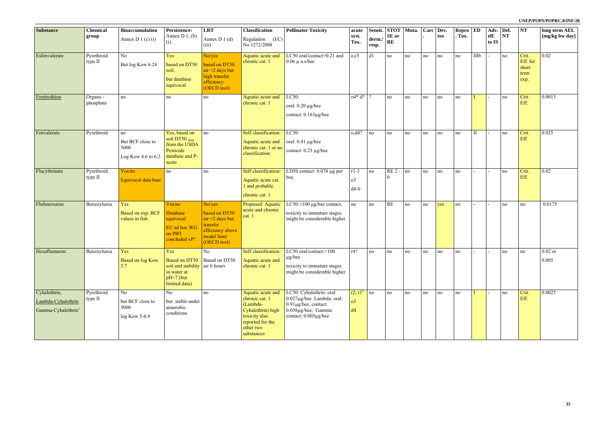| <b>Substance</b>                                                     | <b>Chemical</b>       | <b>Bioaccumulation</b>                                        | Persistence:                                                                               | <b>LRT</b>                                                                                                  | <b>Classification</b>                                                                                                                | <b>Pollinator Toxicity</b>                                                                                                         | acute                                       |                | Sensit. STOT Muta.      |    |    | Carc Dev. | $\text{Repro}$ $\overline{\text{ED}}$ |              | Adv. Del.     |    | <b>NT</b>                                  | long term AEL      |
|----------------------------------------------------------------------|-----------------------|---------------------------------------------------------------|--------------------------------------------------------------------------------------------|-------------------------------------------------------------------------------------------------------------|--------------------------------------------------------------------------------------------------------------------------------------|------------------------------------------------------------------------------------------------------------------------------------|---------------------------------------------|----------------|-------------------------|----|----|-----------|---------------------------------------|--------------|---------------|----|--------------------------------------------|--------------------|
|                                                                      | group                 | Annex D 1 (c) (i)                                             | Annex $D_1$ . (b)<br>$(i)$ .                                                               | Annex D $1(d)$<br>(iii)                                                                                     | Regulation (EC)<br>No 1272/2008                                                                                                      |                                                                                                                                    | syst.<br>Tox.                               | derm.<br>resp. | <b>SE</b> or<br>RE      |    |    | tox       | . Tox.                                |              | eff.<br>to IS | NT |                                            | [mg/kg bw day]     |
| Esfenvalerate                                                        | Pyrethroid<br>type II | N <sub>o</sub><br>But log Kow 6.24                            | Yes<br>based on DT50<br>soil;<br>but database<br>equivocal                                 | No/yes<br>based on DT50<br>$air < 2$ days but<br>high transfer<br>efficiency<br>(OECD tool)                 | Aquatic acute and<br>chronic cat. 1                                                                                                  | LC50 oral/contact=0.21 and<br>$0.06 \mu$ a.s/bee                                                                                   | $0,\dot{r}3$                                | d1             | no                      | no | no | no        | no                                    | IIIb         |               | no | Crit.<br>Eff. for<br>short<br>term<br>exp. | 0.02               |
| Fenitrothion                                                         | Organo -<br>phosphate | no                                                            | no                                                                                         | no                                                                                                          | Aquatic acute and<br>chronic cat. 1                                                                                                  | LC50:<br>oral: $0.20 \mu g/bee$<br>contact: 0.163µg/bee                                                                            | $04* d?$ ?                                  |                | no                      | no | no | no        | no                                    |              |               | no | Crit.<br>Eff.                              | 0.0013             |
| Fenvalerate                                                          | Pyrethroid            | no<br>But BCF close to<br>5000<br>Log Kow 4.6 to 6.2          | Yes, based on<br>soil DT50 field<br>from the USDA<br>Pesticide<br>database and P-<br>score | no                                                                                                          | Self classification:<br>Aquatic acute and<br>chronic cat. 1 or no<br>classification                                                  | LC50:<br>oral: $0.41 \mu$ g/bee<br>contact: 0.23 µg/bee                                                                            | o, d4?                                      | no             | no                      | no | no | no        | no                                    | $\mathbf{I}$ |               | no | Crit.<br>Eff.                              | 0.025              |
| Flucythrinate                                                        | Pyrethroid<br>type II | Yes/no<br>Equivocal data base                                 | no                                                                                         | no                                                                                                          | Self classification:<br>Aquatic acute cat.<br>1 and probable<br>chronic cat. 1                                                       | LD50 contact: $0.078 \mu$ g per<br>bee                                                                                             | $r1-3$<br>$\sigma$ 3<br>$d4-0$              | no             | <b>RE2-</b><br>$\Omega$ | no | no | no        | no                                    |              |               | no | Crit.<br>Eff.                              | 0.02               |
| Flufenoxuron                                                         | Benzoylurea           | Yes<br>Based on exp. BCF<br>values in fish                    | Yes/no<br><b>Database</b><br>equivocal<br>EU ad hoc WG<br>on PBT<br>concluded vP!          | No/yes<br>based on DT50<br>$air < 2$ days but<br>transfer<br>efficiency above<br>model limit<br>(OECD tool) | Proposed: Aquatic<br>acute and chronic<br>cat. 1                                                                                     | LC50: $>100 \mu g$ /bee contact,<br>toxicity to immature stages<br>might be considerable higher                                    | no                                          | no             | RE                      | no | no | yes       | no                                    |              |               | no | no                                         | 0.0175             |
| Hexaflumuron                                                         | Benzoylurea           | Yes<br><b>Based on log Kow</b><br>5.7                         | Yes<br>soil and stability air 6 hours<br>in water at<br>$pH<7$ (but<br>limited data)       | No<br><b>Based on DT50</b> Based on DT50                                                                    | Aquatic acute and<br>chronic cat. 1                                                                                                  | Self classification:   LC50 oral/contact:>100<br>$\mu$ g/bee<br>toxicity to immature stages<br>might be considerable higher        | r4?                                         | n <sub>o</sub> | no                      | no | no | no        | no                                    |              |               | no | no                                         | $0.02$ or<br>0.005 |
| Cyhalothrin,<br>Lambda-Cyhalothrin<br>Gamma-Cyhalothrin <sup>1</sup> | Pyrethroid<br>type II | N <sub>o</sub><br>but BCF close to<br>5000<br>$log Kow 5-6.9$ | No<br>but stable under<br>anaerobic<br>conditions                                          | no                                                                                                          | Aquatic acute and<br>chronic cat. 1<br>(Lambda-<br>Cyhalothrin) high<br>toxicity also<br>reported for the<br>other two<br>substances | LC50: Cyhalothrin: oral:<br>0.027µg/bee Lambda: oral:<br>$0.91 \mu$ g/bee, contact:<br>0.038µg/bee; Gamma:<br>contact: 0.005µg/bee | r2; r1 <sup>1</sup><br>o <sub>3</sub><br>d4 | $\ln 0$        | no                      | no | no | no        | no                                    |              |               | no | Crit.<br>Eff.                              | 0.0025             |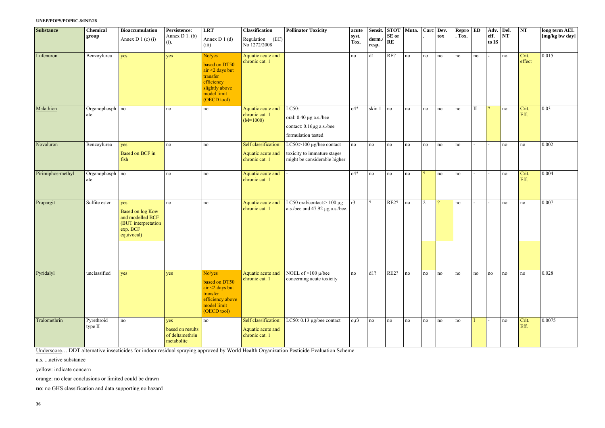#### **UNEP/POPS/POPRC.8/INF/28**

| <b>Substance</b>  | <b>Chemical</b><br>group | <b>Bioaccumulation</b><br>Annex D 1 (c) $(i)$                                                       | Persistence:<br>Annex $D_1$ . (b)                        | <b>LRT</b><br>Annex D $1(d)$                                                                                            | <b>Classification</b><br>(EC)<br>Regulation                 | <b>Pollinator Toxicity</b>                                                                     | acute<br>syst. | Sensit.<br>derm  | <b>STOT</b> Muta.<br>SE or |    |                | Carc Dev.<br>tox | $\mathbb{R}$ epro $\mathbb{E}$ D<br>. Tox. |          | Adv. Del.<br>eff. | NT | NT              | long term AEL<br>[mg/kg bw day] |
|-------------------|--------------------------|-----------------------------------------------------------------------------------------------------|----------------------------------------------------------|-------------------------------------------------------------------------------------------------------------------------|-------------------------------------------------------------|------------------------------------------------------------------------------------------------|----------------|------------------|----------------------------|----|----------------|------------------|--------------------------------------------|----------|-------------------|----|-----------------|---------------------------------|
|                   |                          |                                                                                                     | $(i)$ .                                                  | (iii)                                                                                                                   | No 1272/2008                                                |                                                                                                | Tox.           | resp.            | RE                         |    |                |                  |                                            |          | to IS             |    |                 |                                 |
| Lufenuron         | Benzoylurea              | yes                                                                                                 | yes                                                      | No/yes<br>based on DT50<br>$air < 2$ days but<br>transfer<br>efficiency<br>slightly above<br>model limit<br>(OECD tool) | Aquatic acute and<br>chronic cat. 1                         |                                                                                                | no             | d1               | RE?                        | no | no             | no               | no                                         | no       |                   | no | Crit.<br>effect | 0.015                           |
| Malathion         | Organophosph no<br>ate   |                                                                                                     | $\rm no$                                                 | no                                                                                                                      | Aquatic acute and<br>chronic cat. 1<br>$(M=1000)$           | LC50:<br>oral: $0.40 \mu g$ a.s./bee<br>contact: 0.16µg a.s./bee<br>formulation tested         | $04*$          | skin 1           | no                         | no | no             | no               | no                                         | $\rm II$ | $\mathcal{D}$     | no | Crit.<br>Eff.   | 0.03                            |
| Novaluron         | Benzoylurea              | yes<br><b>Based on BCF in</b><br>fish                                                               | no                                                       | no                                                                                                                      | Self classification:<br>Aquatic acute and<br>chronic cat. 1 | LC50: $>100 \mu g$ /bee contact<br>toxicity to immature stages<br>might be considerable higher | no             | no               | no                         | no | no             | no               | no                                         |          |                   | no | no              | 0.002                           |
| Pirimiphos-methyl | Organophosph no<br>ate   |                                                                                                     | no                                                       | no                                                                                                                      | Aquatic acute and<br>chronic cat. 1                         |                                                                                                | $04*$          | no               | no                         | no | $\overline{2}$ | no               | no                                         |          |                   | no | Crit.<br>Eff.   | 0.004                           |
| Propargit         | Sulfite ester            | yes<br><b>Based on log Kow</b><br>and modelled BCF<br>(BUT interpretation<br>exp. BCF<br>equivocal) | no                                                       | no                                                                                                                      | Aquatic acute and<br>chronic cat. 1                         | LC50 oral/contact: $> 100 \mu g$<br>a.s./bee and 47.92 µg a.s./bee.                            | r3             | $\overline{?}$   | RE2?                       | no | $\overline{2}$ | $\Omega$         | no                                         |          |                   | no | no              | 0.007                           |
|                   |                          |                                                                                                     |                                                          |                                                                                                                         |                                                             |                                                                                                |                |                  |                            |    |                |                  |                                            |          |                   |    |                 |                                 |
| Pyridalyl         | unclassified             | yes                                                                                                 | yes                                                      | No/yes<br>based on DT50<br>$air < 2$ days but<br>transfer<br>efficiency above<br>model limit<br>(OECD tool)             | Aquatic acute and<br>chronic cat. 1                         | NOEL of $>100 \mu$ /bee<br>concerning acute toxicity                                           | no             | $\overline{d1?}$ | RE2?                       | no | no             | no               | no                                         | no       | no                | no | no              | 0.028                           |
| Tralomethrin      | Pyrethroid<br>type II    | no                                                                                                  | yes<br>based on results<br>of deltamethrin<br>metabolite | no                                                                                                                      | Self classification:<br>Aquatic acute and<br>chronic cat. 1 | LC50: 0.13 µg/bee contact                                                                      | 0,r3           | no               | no                         | no | no             | no               | no                                         |          |                   | no | Crit.<br>Eff.   | 0.0075                          |

Underscore… DDT alternative insecticides for indoor residual spraying approved by World Health Organization Pesticide Evaluation Scheme

a.s. ...active substance

yellow: indicate concern

orange: no clear conclusions or limited could be drawn

**no**: no GHS classification and data supporting no hazard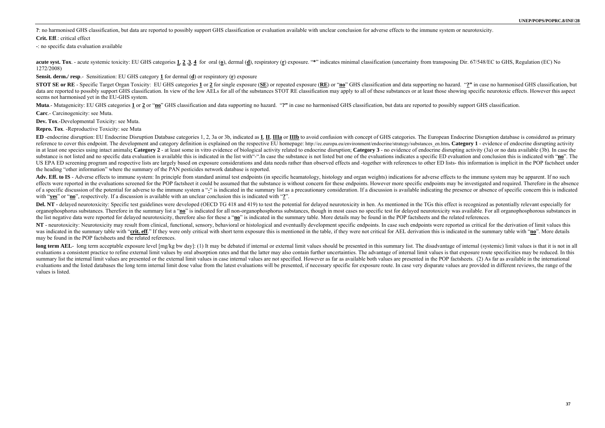**?**: no harmonised GHS classification, but data are reported to possibly support GHS classification or evaluation available with unclear conclusion for adverse effects to the immune system or neurotoxicity. **Crit. Eff** · critical effect

acute syst. Tox. - acute systemic toxicity: EU GHS categories 1, 2,3, 4 for oral (o), dermal (d), respiratory (r) exposure. "\*" indicates minimal classification (uncertainty from transposing Dir. 67/548/EC to GHS, Regulati 1272/2008)

**-**: no specific data evaluation available

STOT SE or RE - Specific Target Organ Toxicity: EU GHS categories 1 or 2 for single exposure (SE) or repeated exposure (RE) or "no" GHS classification and data supporting no hazard. "?" in case no harmonised GHS classifica data are reported to possibly support GHS classification. In view of the low AELs for all of the substances STOT RE classification may apply to all of these substances or at least those showing specific neurotoxic effects. seems not harmonised yet in the EU-GHS system.

Muta.- Mutagenicity: EU GHS categories 1 or 2 or "no" GHS classification and data supporting no hazard. "?" in case no harmonised GHS classification, but data are reported to possibly support GHS classification.

**Sensit. derm./ resp**.- Sensitization: EU GHS category **1** for dermal (**d**) or respiratory (**r**) exposure

**Carc**.- Carcinogenicity: see Muta.

ED -endocrine disruption: EU Endocrine Disruption Database categories 1, 2, 3a or 3b, indicated as **I, II, IIIa** or **IIIb** to avoid confusion with concept of GHS categories. The European Endocrine Disruption database is co reference to cover this endpoint. The development and category definition is explained on the respective EU homepage: http://ec.europa.eu/environment/endocrine/strategy/substances en.htm. Category 1 - evidence of endocrine in at least one species using intact animals: Category 2 - at least some in vitro evidence of biological activity related to endocrine disruption: Category 3 - no evidence of endocrine disrupting activity (3a) or no data a substance is not listed and no specific data evaluation is available this is indicated in the list with "". In case the substance is not listed but one of the evaluations indicates a specific ED evaluation and conclusion t US EPA ED screening program and respective lists are largely based on exposure considerations and data needs rather than observed effects and -together with references to other ED lists- this information is implicit in the the heading "other information" where the summary of the PAN pesticides network database is reported.

**Dev. Tox**.-Developmental Toxicity: see Muta.

**Repro. Tox**. -Reproductive Toxicity: see Muta

Adv. Eff. to IS - Adverse effects to immune system: In principle from standard animal test endpoints (in specific heamatology, histology and organ weights) indications for adverse effects to the immune system may be appare effects were reported in the evaluations screened for the POP factsheet it could be assumed that the substance is without concern for these endpoints. However more specific endpoints may be investigated and required. There of a specific discussion of the potential for adverse to the immune system a "-" is indicated in the summary list as a precautionary consideration. If a discussion is available indicating the presence or absence of specifi with "**yes**" or "**no**", respectively. If a discussion is available with an unclear conclusion this is indicated with "**?**".

Del. NT - delayed neurotoxicity: Specific test guidelines were developed (OECD TG 418 and 419) to test the potential for delayed neurotoxicity in hen. As mentioned in the TGs this effect is recognized as potentially releva organophosphorus substances. Therefore in the summary list a "no" is indicated for all non-organophosphorus substances, though in most cases no specific test for delayed neurotoxicity was available. For all organophosphoro the list negative data were reported for delayed neurotoxicity, therefore also for these a "**no**" is indicated in the summary table. More details may be found in the POP factsheets and the related references.

NT - neurotoxicity: Neurotoxicity may result from clinical, functional, sensory, behavioral or histological and eventually development specific endpoints. In case such endpoints were reported as critical for the derivation was indicated in the summary table with "crit, eff." If they were only critical with short term exposure this is mentioned in the table, if they were not critical for AEL derivation this is indicated in the summary table w may be found in the POP factsheets and the related references.

long term AEL- long term acceptable exposure level [mg/kg bw day]: (1) It may be debated if internal or external limit values should be presented in this summary list. The disadvantage of internal (systemic) limit values i evaluations a consistent practice to refine external limit values by oral absorption rates and that the latter may also contain further uncertainties. The advantage of internal limit values is that exposure route specifici summary list the internal limit values are presented or the external limit values in case internal values are not specified. However as far as available both values are presented in the POP factsheets. (2) As far as availa evaluations and the listed databases the long term internal limit dose value from the latest evaluations will be presented, if necessary specific for exposure route. In case very disparate values are provided in different values is listed.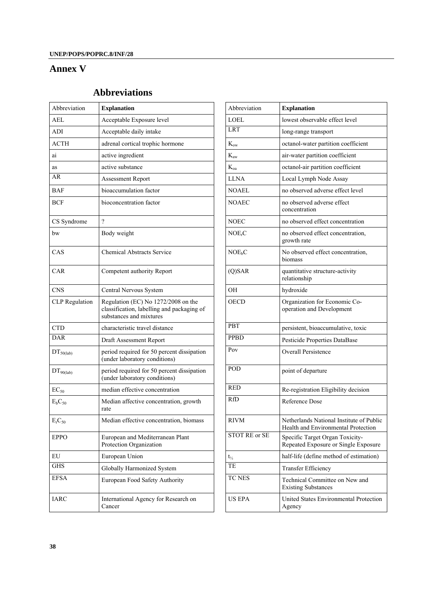# **Annex V**

# **Abbreviations**

| Abbreviation          | <b>Explanation</b>                                                                                           | Abbreviation       | <b>Explanation</b>                                                              |
|-----------------------|--------------------------------------------------------------------------------------------------------------|--------------------|---------------------------------------------------------------------------------|
|                       |                                                                                                              |                    |                                                                                 |
| <b>AEL</b>            | Acceptable Exposure level                                                                                    | <b>LOEL</b>        | lowest observable effect level                                                  |
| ADI                   | Acceptable daily intake                                                                                      | <b>LRT</b>         | long-range transport                                                            |
| <b>ACTH</b>           | adrenal cortical trophic hormone                                                                             | $K_{ow}$           | octanol-water partition coefficient                                             |
| ai                    | active ingredient                                                                                            | $K_{aw}$           | air-water partition coefficient                                                 |
| as                    | active substance                                                                                             | $K_{oa}$           | octanol-air partition coefficient                                               |
| AR                    | Assessment Report                                                                                            | <b>LLNA</b>        | Local Lymph Node Assay                                                          |
| <b>BAF</b>            | bioaccumulation factor                                                                                       | <b>NOAEL</b>       | no observed adverse effect level                                                |
| <b>BCF</b>            | bioconcentration factor                                                                                      | <b>NOAEC</b>       | no observed adverse effect<br>concentration                                     |
| CS Syndrome           | $\overline{?}$                                                                                               | <b>NOEC</b>        | no observed effect concentration                                                |
| bw                    | Body weight                                                                                                  | NOE <sub>r</sub> C | no observed effect concentration,<br>growth rate                                |
| CAS                   | <b>Chemical Abstracts Service</b>                                                                            | NOE <sub>b</sub> C | No observed effect concentration,<br>biomass                                    |
| CAR                   | Competent authority Report                                                                                   | $(Q)$ SAR          | quantitative structure-activity<br>relationship                                 |
| <b>CNS</b>            | Central Nervous System                                                                                       | <b>OH</b>          | hydroxide                                                                       |
| <b>CLP</b> Regulation | Regulation (EC) No 1272/2008 on the<br>classification, labelling and packaging of<br>substances and mixtures | <b>OECD</b>        | Organization for Economic Co-<br>operation and Development                      |
| <b>CTD</b>            | characteristic travel distance                                                                               | PBT                | persistent, bioaccumulative, toxic                                              |
| <b>DAR</b>            | Draft Assessment Report                                                                                      | <b>PPBD</b>        | Pesticide Properties DataBase                                                   |
| $DT_{50(lab)}$        | period required for 50 percent dissipation<br>(under laboratory conditions)                                  | Pov                | <b>Overall Persistence</b>                                                      |
| $DT_{90(lab)}$        | period required for 50 percent dissipation<br>(under laboratory conditions)                                  | POD                | point of departure                                                              |
| $EC_{50}$             | median effective concentration                                                                               | <b>RED</b>         | Re-registration Eligibility decision                                            |
| $E_bC_{50}$           | Median affective concentration, growth<br>rate                                                               | <b>RfD</b>         | Reference Dose                                                                  |
| $\rm E_{r}C_{50}$     | Median effective concentration, biomass                                                                      | <b>RIVM</b>        | Netherlands National Institute of Public<br>Health and Environmental Protection |
| <b>EPPO</b>           | European and Mediterranean Plant<br>Protection Organization                                                  | STOT RE or SE      | Specific Target Organ Toxicity-<br>Repeated Exposure or Single Exposure         |
| EU                    | European Union                                                                                               | $t_{\frac{1}{2}}$  | half-life (define method of estimation)                                         |
| <b>GHS</b>            | Globally Harmonized System                                                                                   | TE                 | <b>Transfer Efficiency</b>                                                      |
| <b>EFSA</b>           | European Food Safety Authority                                                                               | <b>TC NES</b>      | Technical Committee on New and<br><b>Existing Substances</b>                    |
| <b>IARC</b>           | International Agency for Research on<br>Cancer                                                               | <b>US EPA</b>      | United States Environmental Protection<br>Agency                                |

| Abbreviation       | <b>Explanation</b>                                                              |
|--------------------|---------------------------------------------------------------------------------|
| LOEL               | lowest observable effect level                                                  |
| <b>LRT</b>         | long-range transport                                                            |
| $K_{\alpha w}$     | octanol-water partition coefficient                                             |
| $K_{aw}$           | air-water partition coefficient                                                 |
| $K_{oa}$           | octanol-air partition coefficient                                               |
| <b>LLNA</b>        | Local Lymph Node Assay                                                          |
| <b>NOAEL</b>       | no observed adverse effect level                                                |
| <b>NOAEC</b>       | no observed adverse effect<br>concentration                                     |
| <b>NOEC</b>        | no observed effect concentration                                                |
| NOE <sub>r</sub> C | no observed effect concentration,<br>growth rate                                |
| NOE <sub>b</sub> C | No observed effect concentration,<br>biomass                                    |
| $(Q)$ SAR          | quantitative structure-activity<br>relationship                                 |
| 0H                 | hydroxide                                                                       |
| <b>OECD</b>        | Organization for Economic Co-<br>operation and Development                      |
| <b>PBT</b>         | persistent, bioaccumulative, toxic                                              |
| <b>PPBD</b>        | Pesticide Properties DataBase                                                   |
| Pov                | <b>Overall Persistence</b>                                                      |
| POD                | point of departure                                                              |
| <b>RED</b>         | Re-registration Eligibility decision                                            |
| RfD                | Reference Dose                                                                  |
| RIVM               | Netherlands National Institute of Public<br>Health and Environmental Protection |
| STOT RE or SE      | Specific Target Organ Toxicity-<br>Repeated Exposure or Single Exposure         |
| $t_{\frac{1}{2}}$  | half-life (define method of estimation)                                         |
| TE                 | <b>Transfer Efficiency</b>                                                      |
| TC NES             | Technical Committee on New and<br><b>Existing Substances</b>                    |
| <b>US EPA</b>      | United States Environmental Protection<br>Agency                                |